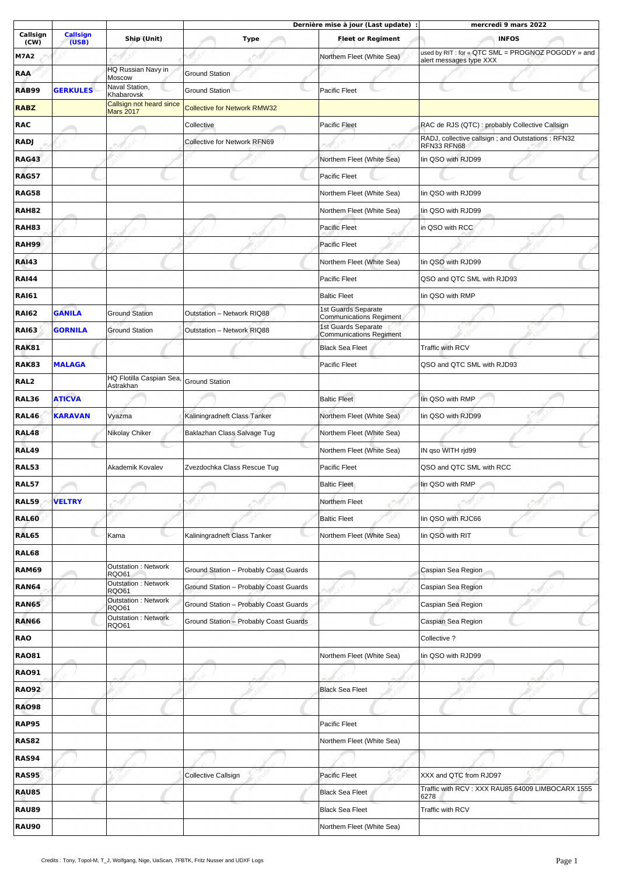|                  |                          |                                            | Dernière mise à jour (Last update) :   |                                                              | mercredi 9 mars 2022                                                         |  |
|------------------|--------------------------|--------------------------------------------|----------------------------------------|--------------------------------------------------------------|------------------------------------------------------------------------------|--|
| Callsign<br>(CW) | <b>Callsign</b><br>(USB) | Ship (Unit)                                | Type                                   | <b>Fleet or Regiment</b>                                     | <b>INFOS</b>                                                                 |  |
| <b>M7A2</b>      |                          |                                            |                                        | Northem Fleet (White Sea)                                    | used by RIT: for « OTC SML = PROGNOZ POGODY » and<br>alert messages type XXX |  |
| <b>RAA</b>       |                          | <b>HQ Russian Navy in</b>                  | <b>Ground Station</b>                  |                                                              |                                                                              |  |
| <b>RAB99</b>     | <b>GERKULES</b>          | Moscow<br>Naval Station,                   | <b>Ground Station</b>                  | Pacific Fleet                                                |                                                                              |  |
| <b>RABZ</b>      |                          | Khabarovsk<br>Callsign not heard since     | <b>Collective for Network RMW32</b>    |                                                              |                                                                              |  |
| <b>RAC</b>       |                          | <b>Mars 2017</b>                           | Collective                             | Pacific Fleet                                                | RAC de RJS (QTC) : probably Collective Callsign                              |  |
| <b>RADJ</b>      |                          |                                            | Collective for Network RFN69           |                                                              | RADJ, collective callsign; and Outstations: RFN32                            |  |
|                  |                          |                                            |                                        | Northem Fleet (White Sea)                                    | RFN33 RFN68                                                                  |  |
| <b>RAG43</b>     |                          |                                            |                                        |                                                              | lin QSO with RJD99                                                           |  |
| <b>RAG57</b>     |                          |                                            |                                        | <b>Pacific Fleet</b>                                         |                                                                              |  |
| <b>RAG58</b>     |                          |                                            |                                        | Northem Fleet (White Sea)                                    | lin QSO with RJD99                                                           |  |
| <b>RAH82</b>     |                          |                                            |                                        | Northem Fleet (White Sea)                                    | lin QSO with RJD99                                                           |  |
| <b>RAH83</b>     |                          |                                            |                                        | <b>Pacific Fleet</b>                                         | in QSO with RCC                                                              |  |
| <b>RAH99</b>     |                          |                                            |                                        | <b>Pacific Fleet</b>                                         |                                                                              |  |
| <b>RAI43</b>     |                          |                                            |                                        | Northem Fleet (White Sea)                                    | lin QSO with RJD99                                                           |  |
| <b>RAI44</b>     |                          |                                            |                                        | Pacific Fleet                                                | QSO and QTC SML with RJD93                                                   |  |
| <b>RAI61</b>     |                          |                                            |                                        | <b>Baltic Fleet</b>                                          | lin QSO with RMP                                                             |  |
| <b>RAI62</b>     | <b>GANILA</b>            | <b>Ground Station</b>                      | Outstation - Network RIQ88             | <b>1st Guards Separate</b><br>Communications Regiment        |                                                                              |  |
| <b>RAI63</b>     | <b>GORNILA</b>           | <b>Ground Station</b>                      | Outstation - Network RIQ88             | <b>1st Guards Separate</b><br><b>Communications Regiment</b> |                                                                              |  |
| <b>RAK81</b>     |                          |                                            |                                        | <b>Black Sea Fleet</b>                                       | Traffic with RCV                                                             |  |
| <b>RAK83</b>     | <b>MALAGA</b>            |                                            |                                        | Pacific Fleet                                                | QSO and QTC SML with RJD93                                                   |  |
| RAL2             |                          | HQ Flotilla Caspian Sea,<br>Astrakhan      | <b>Ground Station</b>                  |                                                              |                                                                              |  |
| <b>RAL36</b>     | <b>ATICVA</b>            |                                            |                                        | <b>Baltic Fleet</b>                                          | lin QSO with RMP                                                             |  |
| <b>RAL46</b>     | <b>KARAVAN</b>           | Vyazma                                     | Kaliningradneft Class Tanker           | Northem Fleet (White Sea)                                    | lin QSO with RJD99                                                           |  |
| <b>RAL48</b>     |                          | Nikolay Chiker                             | Baklazhan Class Salvage Tug            | Northem Fleet (White Sea)                                    |                                                                              |  |
| <b>RAL49</b>     |                          |                                            |                                        | Northem Fleet (White Sea)                                    | IN gso WITH rjd99                                                            |  |
| <b>RAL53</b>     |                          | Akademik Kovalev                           | Zvezdochka Class Rescue Tug            | Pacific Fleet                                                | QSO and QTC SML with RCC                                                     |  |
|                  |                          |                                            |                                        |                                                              |                                                                              |  |
| <b>RAL57</b>     |                          |                                            |                                        | <b>Baltic Fleet</b>                                          | lin QSO with RMP                                                             |  |
| <b>RAL59</b>     | <b>VELTRY</b>            |                                            |                                        | Northem Fleet                                                |                                                                              |  |
| <b>RAL60</b>     |                          |                                            |                                        | <b>Baltic Fleet</b>                                          | lin QSO with RJC66                                                           |  |
| RAL65            |                          | Kama                                       | Kaliningradneft Class Tanker           | Northem Fleet (White Sea)                                    | lin OSO with RIT                                                             |  |
| <b>RAL68</b>     |                          |                                            |                                        |                                                              |                                                                              |  |
| <b>RAM69</b>     |                          | <b>Outstation: Network</b><br><b>RQO61</b> | Ground Station - Probably Coast Guards |                                                              | Caspian Sea Region                                                           |  |
| <b>RAN64</b>     |                          | Outstation : Network<br><b>RQO61</b>       | Ground Station - Probably Coast Guards |                                                              | Caspian Sea Region                                                           |  |
| <b>RAN65</b>     |                          | <b>Outstation: Network</b><br><b>ROO61</b> | Ground Station - Probably Coast Guards |                                                              | Caspian Sea Region                                                           |  |
| <b>RAN66</b>     |                          | Outstation : Network<br><b>RQ061</b>       | Ground Station - Probably Coast Guards |                                                              | Caspian Sea Region                                                           |  |
| <b>RAO</b>       |                          |                                            |                                        |                                                              | Collective ?                                                                 |  |
| <b>RAO81</b>     |                          |                                            |                                        | Northem Fleet (White Sea)                                    | lin QSO with RJD99                                                           |  |
| <b>RAO91</b>     |                          |                                            |                                        |                                                              |                                                                              |  |
| <b>RAO92</b>     |                          |                                            |                                        | <b>Black Sea Fleet</b>                                       |                                                                              |  |
| <b>RAO98</b>     |                          |                                            |                                        |                                                              |                                                                              |  |
| <b>RAP95</b>     |                          |                                            |                                        | Pacific Fleet                                                |                                                                              |  |
| <b>RAS82</b>     |                          |                                            |                                        | Northem Fleet (White Sea)                                    |                                                                              |  |
| <b>RAS94</b>     |                          |                                            |                                        |                                                              |                                                                              |  |
| <b>RAS95</b>     |                          |                                            | Collective Callsign                    | Pacific Fleet                                                | XXX and QTC from RJD97                                                       |  |
| <b>RAU85</b>     |                          |                                            |                                        | <b>Black Sea Fleet</b>                                       | Traffic with RCV: XXX RAU85 64009 LIMBOCARX 1555                             |  |
|                  |                          |                                            |                                        |                                                              | 6278                                                                         |  |
| <b>RAU89</b>     |                          |                                            |                                        | <b>Black Sea Fleet</b>                                       | Traffic with RCV                                                             |  |
| <b>RAU90</b>     |                          |                                            |                                        | Northem Fleet (White Sea)                                    |                                                                              |  |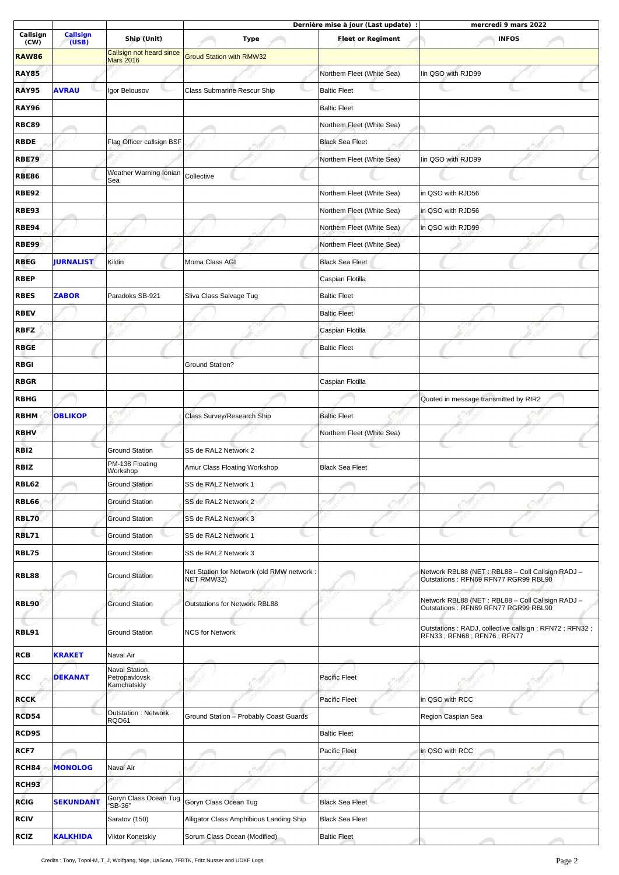|                  |                          |                                                |                                                          | Dernière mise à jour (Last update) : | mercredi 9 mars 2022                                                                     |
|------------------|--------------------------|------------------------------------------------|----------------------------------------------------------|--------------------------------------|------------------------------------------------------------------------------------------|
| Callsign<br>(CW) | <b>Callsign</b><br>(USB) | Ship (Unit)                                    | <b>Type</b>                                              | <b>Fleet or Regiment</b>             | <b>INFOS</b>                                                                             |
| <b>RAW86</b>     |                          | Callsign not heard since<br><b>Mars 2016</b>   | <b>Groud Station with RMW32</b>                          |                                      |                                                                                          |
| <b>RAY85</b>     |                          |                                                |                                                          | Northem Fleet (White Sea)            | lin QSO with RJD99                                                                       |
| <b>RAY95</b>     | <b>AVRAU</b>             | Igor Belousov                                  | <b>Class Submarine Rescur Ship</b>                       | <b>Baltic Fleet</b>                  |                                                                                          |
| <b>RAY96</b>     |                          |                                                |                                                          | <b>Baltic Fleet</b>                  |                                                                                          |
| <b>RBC89</b>     |                          |                                                |                                                          | Northem Fleet (White Sea)            |                                                                                          |
| <b>RBDE</b>      |                          | Flag Officer callsign BSF                      |                                                          | <b>Black Sea Fleet</b>               |                                                                                          |
| <b>RBE79</b>     |                          |                                                |                                                          | Northem Fleet (White Sea)            | lin QSO with RJD99                                                                       |
|                  |                          | Weather Warning Ionian                         |                                                          |                                      |                                                                                          |
| <b>RBE86</b>     |                          | Sea                                            | Collective                                               |                                      |                                                                                          |
| <b>RBE92</b>     |                          |                                                |                                                          | Northem Fleet (White Sea)            | in QSO with RJD56                                                                        |
| <b>RBE93</b>     |                          |                                                |                                                          | Northem Fleet (White Sea)            | in QSO with RJD56                                                                        |
| <b>RBE94</b>     |                          |                                                |                                                          | Northem Fleet (White Sea)            | in QSO with RJD99                                                                        |
| <b>RBE99</b>     |                          |                                                |                                                          | Northem Fleet (White Sea)            |                                                                                          |
| <b>RBEG</b>      | <b>JURNALIST</b>         | Kildin                                         | Moma Class AGI                                           | <b>Black Sea Fleet</b>               |                                                                                          |
| <b>RBEP</b>      |                          |                                                |                                                          | Caspian Flotilla                     |                                                                                          |
| <b>RBES</b>      | <b>ZABOR</b>             | Paradoks SB-921                                | Sliva Class Salvage Tug                                  | <b>Baltic Fleet</b>                  |                                                                                          |
| <b>RBEV</b>      |                          |                                                |                                                          | <b>Baltic Fleet</b>                  |                                                                                          |
| <b>RBFZ</b>      |                          |                                                |                                                          | Caspian Flotilla                     |                                                                                          |
| <b>RBGE</b>      |                          |                                                |                                                          | <b>Baltic Fleet</b>                  |                                                                                          |
| <b>RBGI</b>      |                          |                                                | Ground Station?                                          |                                      |                                                                                          |
| <b>RBGR</b>      |                          |                                                |                                                          | Caspian Flotilla                     |                                                                                          |
| <b>RBHG</b>      |                          |                                                |                                                          |                                      | Quoted in message transmitted by RIR2                                                    |
| <b>RBHM</b>      | <b>OBLIKOP</b>           |                                                | Class Survey/Research Ship                               | <b>Baltic Fleet</b>                  |                                                                                          |
| <b>RBHV</b>      |                          |                                                |                                                          | Northem Fleet (White Sea)            |                                                                                          |
| <b>RBI2</b>      |                          | <b>Ground Station</b>                          | SS de RAL2 Network 2                                     |                                      |                                                                                          |
| <b>RBIZ</b>      |                          | PM-138 Floating                                | Amur Class Floating Workshop                             | <b>Black Sea Fleet</b>               |                                                                                          |
|                  |                          | Workshop                                       |                                                          |                                      |                                                                                          |
| <b>RBL62</b>     |                          | <b>Ground Station</b>                          | SS de RAL2 Network 1                                     |                                      |                                                                                          |
| <b>RBL66</b>     |                          | <b>Ground Station</b>                          | SS de RAL2 Network 2                                     |                                      |                                                                                          |
| <b>RBL70</b>     |                          | <b>Ground Station</b>                          | SS de RAL2 Network 3                                     |                                      |                                                                                          |
| <b>RBL71</b>     |                          | <b>Ground Station</b>                          | SS de RAL2 Network 1                                     |                                      |                                                                                          |
| <b>RBL75</b>     |                          | <b>Ground Station</b>                          | SS de RAL2 Network 3                                     |                                      |                                                                                          |
| <b>RBL88</b>     |                          | <b>Ground Station</b>                          | Net Station for Network (old RMW network :<br>NET RMW32) |                                      | Network RBL88 (NET: RBL88 - Coll Callsign RADJ -<br>Outstations: RFN69 RFN77 RGR99 RBL90 |
| <b>RBL90</b>     |                          | <b>Ground Station</b>                          | <b>Outstations for Network RBL88</b>                     |                                      | Network RBL88 (NET: RBL88 - Coll Callsign RADJ -<br>Outstations: RFN69 RFN77 RGR99 RBL90 |
| RBL91            |                          | <b>Ground Station</b>                          | <b>NCS for Network</b>                                   |                                      | Outstations: RADJ, collective callsign; RFN72; RFN32;<br>RFN33; RFN68; RFN76; RFN77      |
| <b>RCB</b>       | <b>KRAKET</b>            | Naval Air                                      |                                                          |                                      |                                                                                          |
| <b>RCC</b>       | <b>DEKANAT</b>           | Naval Station,<br>Petropavlovsk<br>Kamchatskly |                                                          | <b>Pacific Fleet</b>                 |                                                                                          |
| <b>RCCK</b>      |                          |                                                |                                                          | Pacific Fleet                        | in QSO with RCC                                                                          |
| RCD54            |                          | Outstation : Network                           | Ground Station - Probably Coast Guards                   |                                      | Region Caspian Sea                                                                       |
| <b>RCD95</b>     |                          | <b>RQ061</b>                                   |                                                          | <b>Baltic Fleet</b>                  |                                                                                          |
| RCF7             |                          |                                                |                                                          | <b>Pacific Fleet</b>                 | in QSO with RCC                                                                          |
| <b>RCH84</b>     | <b>MONOLOG</b>           | Naval Air                                      |                                                          |                                      |                                                                                          |
|                  |                          |                                                |                                                          |                                      |                                                                                          |
| <b>RCH93</b>     |                          | Goryn Class Ocean Tug                          |                                                          |                                      |                                                                                          |
| <b>RCIG</b>      | <b>SEKUNDANT</b>         | 'SB-36"                                        | Goryn Class Ocean Tug                                    | <b>Black Sea Fleet</b>               |                                                                                          |
| <b>RCIV</b>      |                          | Saratov (150)                                  | Alligator Class Amphibious Landing Ship                  | <b>Black Sea Fleet</b>               |                                                                                          |
| <b>RCIZ</b>      | <b>KALKHIDA</b>          | Viktor Konetskiy                               | Sorum Class Ocean (Modified)                             | <b>Baltic Fleet</b>                  |                                                                                          |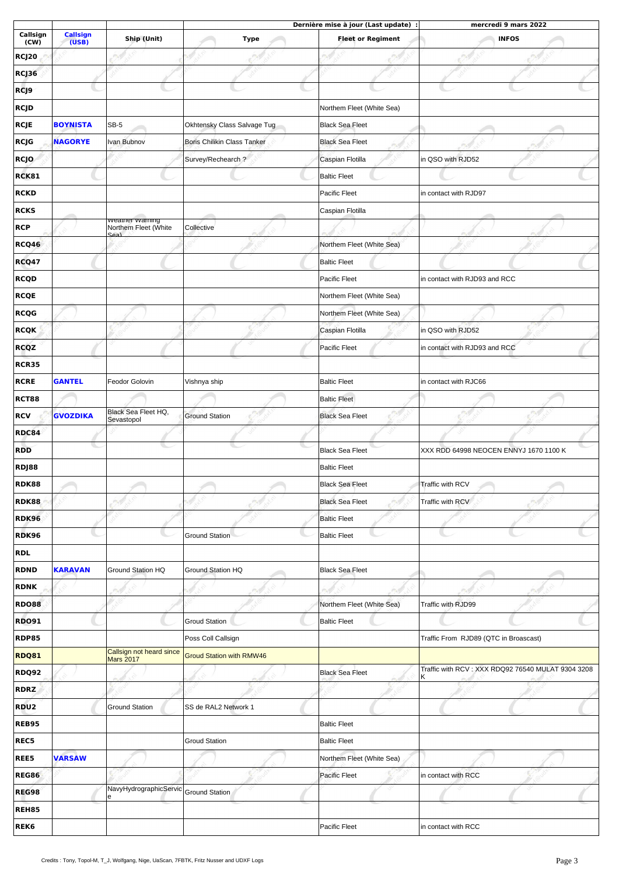|                  |                          |                                              |                                 | Dernière mise à jour (Last update) : | mercredi 9 mars 2022                                     |
|------------------|--------------------------|----------------------------------------------|---------------------------------|--------------------------------------|----------------------------------------------------------|
| Callsign<br>(CW) | <b>Callsign</b><br>(USB) | Ship (Unit)                                  | <b>Type</b>                     | <b>Fleet or Regiment</b>             | <b>INFOS</b>                                             |
| <b>RCJ20</b>     |                          |                                              |                                 |                                      |                                                          |
| RCJ36            |                          |                                              |                                 |                                      |                                                          |
| RCJ9             |                          |                                              |                                 |                                      |                                                          |
| RCJD             |                          |                                              |                                 | Northem Fleet (White Sea)            |                                                          |
| <b>RCJE</b>      | <b>BOYNISTA</b>          | $SB-5$                                       | Okhtensky Class Salvage Tug     | <b>Black Sea Fleet</b>               |                                                          |
| RCJG             | <b>NAGORYE</b>           | Ivan Bubnov                                  | Boris Chilikin Class Tanker     | <b>Black Sea Fleet</b>               |                                                          |
| <b>RCJO</b>      |                          |                                              | Survey/Rechearch?               | Caspian Flotilla                     | in QSO with RJD52                                        |
| RCK81            |                          |                                              |                                 | <b>Baltic Fleet</b>                  |                                                          |
| <b>RCKD</b>      |                          |                                              |                                 | Pacific Fleet                        | in contact with RJD97                                    |
| <b>RCKS</b>      |                          |                                              |                                 | Caspian Flotilla                     |                                                          |
| <b>RCP</b>       |                          | weamer warning<br>Northem Fleet (White       | Collective                      |                                      |                                                          |
| RCQ46            |                          | لدمك                                         |                                 | Northem Fleet (White Sea)            |                                                          |
| <b>RCQ47</b>     |                          |                                              |                                 | <b>Baltic Fleet</b>                  |                                                          |
| <b>RCQD</b>      |                          |                                              |                                 | Pacific Fleet                        | in contact with RJD93 and RCC                            |
| <b>RCQE</b>      |                          |                                              |                                 | Northem Fleet (White Sea)            |                                                          |
| <b>RCQG</b>      |                          |                                              |                                 | Northem Fleet (White Sea)            |                                                          |
|                  |                          |                                              |                                 |                                      |                                                          |
| <b>RCQK</b>      |                          |                                              |                                 | Caspian Flotilla                     | in QSO with RJD52                                        |
| <b>RCQZ</b>      |                          |                                              |                                 | Pacific Fleet                        | in contact with RJD93 and RCC                            |
| <b>RCR35</b>     |                          |                                              |                                 |                                      |                                                          |
| <b>RCRE</b>      | <b>GANTEL</b>            | Feodor Golovin                               | Vishnya ship                    | <b>Baltic Fleet</b>                  | in contact with RJC66                                    |
| <b>RCT88</b>     |                          | Black Sea Fleet HQ,                          |                                 | <b>Baltic Fleet</b>                  |                                                          |
| <b>RCV</b>       | <b>GVOZDIKA</b>          | Sevastopol                                   | <b>Ground Station</b>           | <b>Black Sea Fleet</b>               |                                                          |
| <b>RDC84</b>     |                          |                                              |                                 |                                      |                                                          |
| <b>RDD</b>       |                          |                                              |                                 | <b>Black Sea Fleet</b>               | XXX RDD 64998 NEOCEN ENNYJ 1670 1100 K                   |
| RDJ88            |                          |                                              |                                 | <b>Baltic Fleet</b>                  |                                                          |
| <b>RDK88</b>     |                          |                                              |                                 | <b>Black Sea Fleet</b>               | Traffic with RCV                                         |
| <b>RDK88</b>     |                          |                                              |                                 | <b>Black Sea Fleet</b>               | Traffic with RCV                                         |
| <b>RDK96</b>     |                          |                                              |                                 | <b>Baltic Fleet</b>                  |                                                          |
| <b>RDK96</b>     |                          |                                              | <b>Ground Station</b>           | <b>Baltic Fleet</b>                  |                                                          |
| <b>RDL</b>       |                          |                                              |                                 |                                      |                                                          |
| <b>RDND</b>      | <b>KARAVAN</b>           | Ground Station HQ                            | Ground Station HQ               | <b>Black Sea Fleet</b>               |                                                          |
| <b>RDNK</b>      |                          |                                              |                                 |                                      |                                                          |
| <b>RDO88</b>     |                          |                                              |                                 | Northem Fleet (White Sea)            | Traffic with RJD99                                       |
| <b>RDO91</b>     |                          |                                              | <b>Groud Station</b>            | <b>Baltic Fleet</b>                  |                                                          |
| <b>RDP85</b>     |                          |                                              | Poss Coll Callsign              |                                      | Traffic From RJD89 (QTC in Broascast)                    |
| <b>RDQ81</b>     |                          | Callsign not heard since<br><b>Mars 2017</b> | <b>Groud Station with RMW46</b> |                                      |                                                          |
| <b>RDQ92</b>     |                          |                                              |                                 | <b>Black Sea Fleet</b>               | Traffic with RCV: XXX RDQ92 76540 MULAT 9304 3208<br>ΙK. |
| <b>RDRZ</b>      |                          |                                              |                                 |                                      |                                                          |
| <b>RDU2</b>      |                          | <b>Ground Station</b>                        | SS de RAL2 Network 1            |                                      |                                                          |
| <b>REB95</b>     |                          |                                              |                                 | <b>Baltic Fleet</b>                  |                                                          |
| REC5             |                          |                                              | <b>Groud Station</b>            | <b>Baltic Fleet</b>                  |                                                          |
| REE5             | <b>VARSAW</b>            |                                              |                                 | Northem Fleet (White Sea)            |                                                          |
| <b>REG86</b>     |                          |                                              |                                 | Pacific Fleet                        | in contact with RCC                                      |
| <b>REG98</b>     |                          | NavyHydrographicServic                       | Ground Station                  |                                      |                                                          |
| REH85            |                          | e                                            |                                 |                                      |                                                          |
| REK <sub>6</sub> |                          |                                              |                                 | Pacific Fleet                        | in contact with RCC                                      |
|                  |                          |                                              |                                 |                                      |                                                          |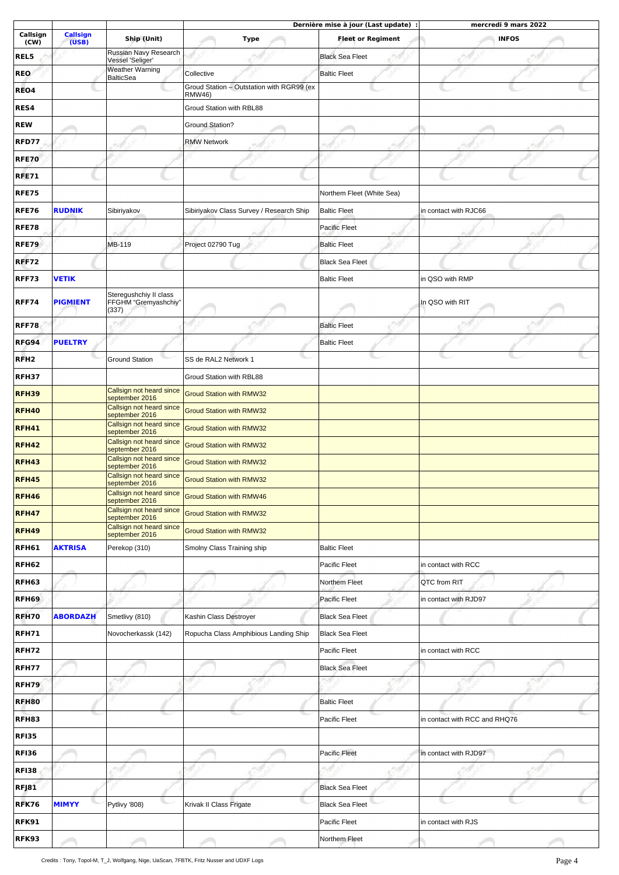|                  |                          |                                            |                                           | Dernière mise à jour (Last update) : | mercredi 9 mars 2022          |
|------------------|--------------------------|--------------------------------------------|-------------------------------------------|--------------------------------------|-------------------------------|
| Callsign<br>(CW) | <b>Callsign</b><br>(USB) | Ship (Unit)                                | <b>Type</b>                               | <b>Fleet or Regiment</b>             | <b>INFOS</b>                  |
| REL5             |                          | Russian Navy Research<br>Vessel 'Seliger'  |                                           | <b>Black Sea Fleet</b>               |                               |
| <b>REO</b>       |                          | <b>Weather Warning</b>                     | Collective                                | <b>Baltic Fleet</b>                  |                               |
| REO4             |                          | <b>BalticSea</b>                           | Groud Station - Outstation with RGR99 (ex |                                      |                               |
|                  |                          |                                            | RMW46)                                    |                                      |                               |
| RES4             |                          |                                            | Groud Station with RBL88                  |                                      |                               |
| <b>REW</b>       |                          |                                            | <b>Ground Station?</b>                    |                                      |                               |
| RFD77            |                          |                                            | <b>RMW Network</b>                        |                                      |                               |
| <b>RFE70</b>     |                          |                                            |                                           |                                      |                               |
| <b>RFE71</b>     |                          |                                            |                                           |                                      |                               |
| <b>RFE75</b>     |                          |                                            |                                           | Northem Fleet (White Sea)            |                               |
| <b>RFE76</b>     | <b>RUDNIK</b>            | Sibiriyakov                                | Sibiriyakov Class Survey / Research Ship  | <b>Baltic Fleet</b>                  | in contact with RJC66         |
| <b>RFE78</b>     |                          |                                            |                                           | <b>Pacific Fleet</b>                 |                               |
| <b>RFE79</b>     |                          | MB-119                                     | Project 02790 Tug                         | <b>Baltic Fleet</b>                  |                               |
| <b>RFF72</b>     |                          |                                            |                                           | <b>Black Sea Fleet</b>               |                               |
| <b>RFF73</b>     | <b>VETIK</b>             |                                            |                                           | <b>Baltic Fleet</b>                  | in QSO with RMP               |
|                  |                          | Steregushchiy II class                     |                                           |                                      |                               |
| <b>RFF74</b>     | <b>PIGMIENT</b>          | FFGHM "Gremyashchiy"<br>(337)              |                                           |                                      | In QSO with RIT               |
| <b>RFF78</b>     |                          |                                            |                                           | <b>Baltic Fleet</b>                  |                               |
| RFG94            | <b>PUELTRY</b>           |                                            |                                           | <b>Baltic Fleet</b>                  |                               |
| RFH <sub>2</sub> |                          | <b>Ground Station</b>                      | SS de RAL2 Network 1                      |                                      |                               |
| <b>RFH37</b>     |                          |                                            | Groud Station with RBL88                  |                                      |                               |
| <b>RFH39</b>     |                          | Callsign not heard since                   | <b>Groud Station with RMW32</b>           |                                      |                               |
| <b>RFH40</b>     |                          | september 2016<br>Callsign not heard since | <b>Groud Station with RMW32</b>           |                                      |                               |
|                  |                          | september 2016<br>Callsign not heard since |                                           |                                      |                               |
| <b>RFH41</b>     |                          | september 2016<br>Callsign not heard since | <b>Groud Station with RMW32</b>           |                                      |                               |
| <b>RFH42</b>     |                          | september 2016<br>Callsign not heard since | <b>Groud Station with RMW32</b>           |                                      |                               |
| <b>RFH43</b>     |                          | september 2016                             | <b>Groud Station with RMW32</b>           |                                      |                               |
| <b>RFH45</b>     |                          | Callsign not heard since<br>september 2016 | <b>Groud Station with RMW32</b>           |                                      |                               |
| <b>RFH46</b>     |                          | Callsign not heard since<br>september 2016 | <b>Groud Station with RMW46</b>           |                                      |                               |
| <b>RFH47</b>     |                          | Callsign not heard since<br>september 2016 | <b>Groud Station with RMW32</b>           |                                      |                               |
| <b>RFH49</b>     |                          | Callsign not heard since<br>september 2016 | <b>Groud Station with RMW32</b>           |                                      |                               |
| RFH61            | <b>AKTRISA</b>           | Perekop (310)                              | Smolny Class Training ship                | <b>Baltic Fleet</b>                  |                               |
| RFH62            |                          |                                            |                                           | Pacific Fleet                        | in contact with RCC           |
| RFH63            |                          |                                            |                                           | Northem Fleet                        | QTC from RIT                  |
| RFH69            |                          |                                            |                                           | <b>Pacific Fleet</b>                 | in contact with RJD97         |
| RFH70            | <b>ABORDAZH</b>          | Smetlivy (810)                             | Kashin Class Destroyer                    | <b>Black Sea Fleet</b>               |                               |
| RFH71            |                          | Novocherkassk (142)                        | Ropucha Class Amphibious Landing Ship     | <b>Black Sea Fleet</b>               |                               |
| <b>RFH72</b>     |                          |                                            |                                           | Pacific Fleet                        | in contact with RCC           |
| <b>RFH77</b>     |                          |                                            |                                           | <b>Black Sea Fleet</b>               |                               |
| RFH79            |                          |                                            |                                           |                                      |                               |
| RFH80            |                          |                                            |                                           | <b>Baltic Fleet</b>                  |                               |
|                  |                          |                                            |                                           |                                      |                               |
| RFH83            |                          |                                            |                                           | Pacific Fleet                        | in contact with RCC and RHQ76 |
| <b>RFI35</b>     |                          |                                            |                                           |                                      |                               |
| <b>RFI36</b>     |                          |                                            |                                           | Pacific Fleet                        | in contact with RJD97         |
| <b>RFI38</b>     |                          |                                            |                                           |                                      |                               |
| RFJ81            |                          |                                            |                                           | <b>Black Sea Fleet</b>               |                               |
| RFK76            | <b>MIMYY</b>             | Pytlivy '808)                              | Krivak II Class Frigate                   | <b>Black Sea Fleet</b>               |                               |
| RFK91            |                          |                                            |                                           | Pacific Fleet                        | in contact with RJS           |
| <b>RFK93</b>     |                          |                                            |                                           | Northem Fleet                        |                               |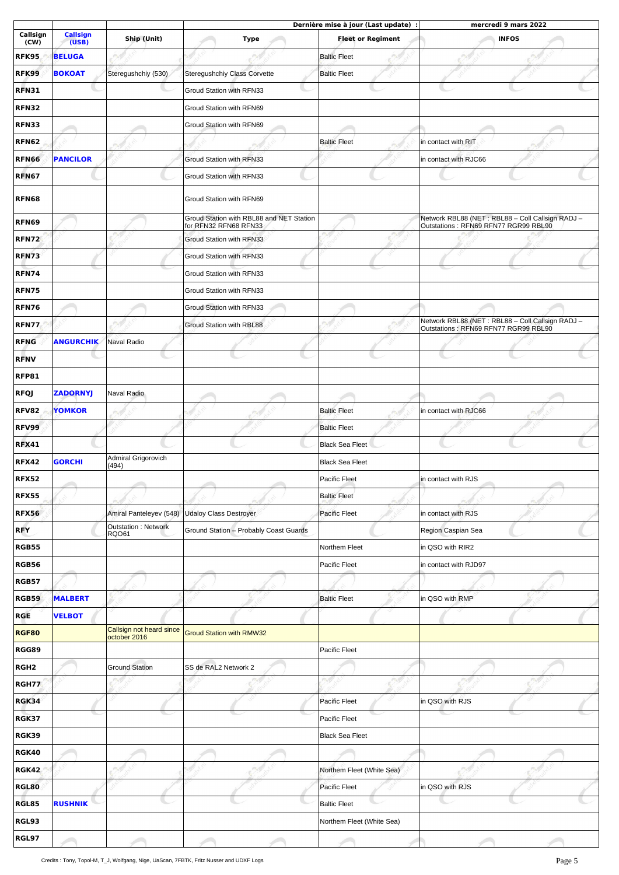|                  |                          |                                     | Dernière mise à jour (Last update) :                              |                           | mercredi 9 mars 2022                                                                     |  |  |
|------------------|--------------------------|-------------------------------------|-------------------------------------------------------------------|---------------------------|------------------------------------------------------------------------------------------|--|--|
| Callsign<br>(CW) | <b>Callsign</b><br>(USB) | Ship (Unit)                         | <b>Type</b>                                                       | <b>Fleet or Regiment</b>  | <b>INFOS</b>                                                                             |  |  |
| <b>RFK95</b>     | <b>BELUGA</b>            |                                     |                                                                   | <b>Baltic Fleet</b>       |                                                                                          |  |  |
| <b>RFK99</b>     | <b>BOKOAT</b>            | Steregushchiy (530)                 | Steregushchiy Class Corvette                                      | <b>Baltic Fleet</b>       |                                                                                          |  |  |
| <b>RFN31</b>     |                          |                                     | Groud Station with RFN33                                          |                           |                                                                                          |  |  |
| <b>RFN32</b>     |                          |                                     | Groud Station with RFN69                                          |                           |                                                                                          |  |  |
| <b>RFN33</b>     |                          |                                     |                                                                   |                           |                                                                                          |  |  |
|                  |                          |                                     | Groud Station with RFN69                                          |                           |                                                                                          |  |  |
| <b>RFN62</b>     |                          |                                     |                                                                   | <b>Baltic Fleet</b>       | in contact with RIT                                                                      |  |  |
| <b>RFN66</b>     | <b>PANCILOR</b>          |                                     | Groud Station with RFN33                                          |                           | in contact with RJC66                                                                    |  |  |
| RFN67            |                          |                                     | Groud Station with RFN33                                          |                           |                                                                                          |  |  |
| <b>RFN68</b>     |                          |                                     | Groud Station with RFN69                                          |                           |                                                                                          |  |  |
| <b>RFN69</b>     |                          |                                     | Groud Station with RBL88 and NET Station<br>for RFN32 RFN68 RFN33 |                           | Network RBL88 (NET: RBL88 - Coll Callsign RADJ -<br>Outstations: RFN69 RFN77 RGR99 RBL90 |  |  |
| <b>RFN72</b>     |                          |                                     | Groud Station with RFN33                                          |                           |                                                                                          |  |  |
| <b>RFN73</b>     |                          |                                     | Groud Station with RFN33                                          |                           |                                                                                          |  |  |
| <b>RFN74</b>     |                          |                                     | Groud Station with RFN33                                          |                           |                                                                                          |  |  |
| <b>RFN75</b>     |                          |                                     | Groud Station with RFN33                                          |                           |                                                                                          |  |  |
| <b>RFN76</b>     |                          |                                     | Groud Station with RFN33                                          |                           |                                                                                          |  |  |
| <b>RFN77</b>     |                          |                                     | Groud Station with RBL88                                          |                           | Network RBL88 (NET : RBL88 - Coll Callsign RADJ -                                        |  |  |
| <b>RFNG</b>      | <b>ANGURCHIK</b>         | Naval Radio                         |                                                                   |                           | Outstations: RFN69 RFN77 RGR99 RBL90                                                     |  |  |
|                  |                          |                                     |                                                                   |                           |                                                                                          |  |  |
| <b>RFNV</b>      |                          |                                     |                                                                   |                           |                                                                                          |  |  |
| RFP81            |                          |                                     |                                                                   |                           |                                                                                          |  |  |
| <b>RFQJ</b>      | ZADORNYJ                 | Naval Radio                         |                                                                   |                           |                                                                                          |  |  |
| <b>RFV82</b>     | <b>YOMKOR</b>            |                                     |                                                                   | <b>Baltic Fleet</b>       | in contact with RJC66                                                                    |  |  |
| <b>RFV99</b>     |                          |                                     |                                                                   | <b>Baltic Fleet</b>       |                                                                                          |  |  |
| <b>RFX41</b>     |                          |                                     |                                                                   | <b>Black Sea Fleet</b>    |                                                                                          |  |  |
| <b>RFX42</b>     | <b>GORCHI</b>            | Admiral Grigorovich<br>(494)        |                                                                   | <b>Black Sea Fleet</b>    |                                                                                          |  |  |
| <b>RFX52</b>     |                          |                                     |                                                                   | Pacific Fleet             | in contact with RJS                                                                      |  |  |
| <b>RFX55</b>     |                          |                                     |                                                                   | <b>Baltic Fleet</b>       |                                                                                          |  |  |
| <b>RFX56</b>     |                          | Amiral Panteleyev (548)             | <b>Udaloy Class Destroyer</b>                                     | Pacific Fleet             | in contact with RJS                                                                      |  |  |
| <b>RFY</b>       |                          | <b>Outstation: Network</b><br>RQO61 | Ground Station - Probably Coast Guards                            |                           | Region Caspian Sea                                                                       |  |  |
| <b>RGB55</b>     |                          |                                     |                                                                   | Northem Fleet             | in QSO with RIR2                                                                         |  |  |
| RGB56            |                          |                                     |                                                                   | Pacific Fleet             | in contact with RJD97                                                                    |  |  |
| <b>RGB57</b>     |                          |                                     |                                                                   |                           |                                                                                          |  |  |
|                  |                          |                                     |                                                                   |                           |                                                                                          |  |  |
| <b>RGB59</b>     | <b>MALBERT</b>           |                                     |                                                                   | <b>Baltic Fleet</b>       | in QSO with RMP                                                                          |  |  |
| <b>RGE</b>       | <b>VELBOT</b>            | Callsign not heard since            |                                                                   |                           |                                                                                          |  |  |
| RGF80            |                          | october 2016                        | <b>Groud Station with RMW32</b>                                   |                           |                                                                                          |  |  |
| RGG89            |                          |                                     |                                                                   | Pacific Fleet             |                                                                                          |  |  |
| RGH <sub>2</sub> |                          | <b>Ground Station</b>               | SS de RAL2 Network 2                                              |                           |                                                                                          |  |  |
| <b>RGH77</b>     |                          |                                     |                                                                   |                           |                                                                                          |  |  |
| RGK34            |                          |                                     |                                                                   | Pacific Fleet             | in QSO with RJS                                                                          |  |  |
| RGK37            |                          |                                     |                                                                   | Pacific Fleet             |                                                                                          |  |  |
| RGK39            |                          |                                     |                                                                   | <b>Black Sea Fleet</b>    |                                                                                          |  |  |
| RGK40            |                          |                                     |                                                                   |                           |                                                                                          |  |  |
| <b>RGK42</b>     |                          |                                     |                                                                   | Northem Fleet (White Sea) |                                                                                          |  |  |
| RGL80            |                          |                                     |                                                                   | Pacific Fleet             | in QSO with RJS                                                                          |  |  |
| RGL85            | <b>RUSHNIK</b>           |                                     |                                                                   | <b>Baltic Fleet</b>       |                                                                                          |  |  |
| RGL93            |                          |                                     |                                                                   | Northem Fleet (White Sea) |                                                                                          |  |  |
| RGL97            |                          |                                     |                                                                   |                           |                                                                                          |  |  |
|                  |                          |                                     |                                                                   |                           |                                                                                          |  |  |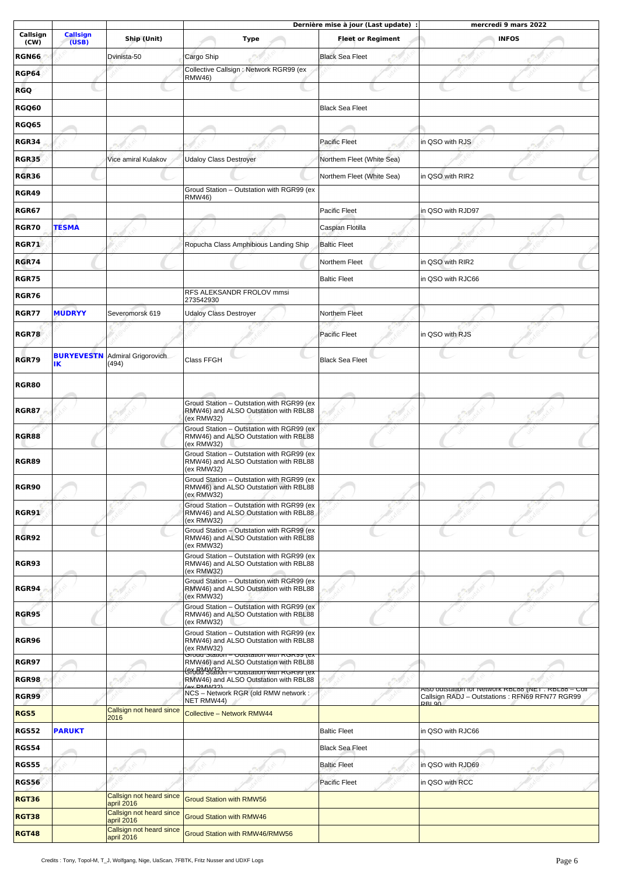|                  |                          |                                        |                                                                                                                     | Dernière mise à jour (Last update) : | mercredi 9 mars 2022                                                                                                       |
|------------------|--------------------------|----------------------------------------|---------------------------------------------------------------------------------------------------------------------|--------------------------------------|----------------------------------------------------------------------------------------------------------------------------|
| Callsign<br>(CW) | <b>Callsign</b><br>(USB) | Ship (Unit)                            | Type                                                                                                                | <b>Fleet or Regiment</b>             | <b>INFOS</b>                                                                                                               |
| <b>RGN66</b>     |                          | Dvinista-50                            | Cargo Ship                                                                                                          | <b>Black Sea Fleet</b>               |                                                                                                                            |
| <b>RGP64</b>     |                          |                                        | Collective Callsign : Network RGR99 (ex<br><b>RMW46)</b>                                                            |                                      |                                                                                                                            |
| <b>RGQ</b>       |                          |                                        |                                                                                                                     |                                      |                                                                                                                            |
| <b>RGQ60</b>     |                          |                                        |                                                                                                                     | <b>Black Sea Fleet</b>               |                                                                                                                            |
| <b>RGQ65</b>     |                          |                                        |                                                                                                                     |                                      |                                                                                                                            |
| <b>RGR34</b>     |                          |                                        |                                                                                                                     | <b>Pacific Fleet</b>                 | in QSO with RJS                                                                                                            |
|                  |                          |                                        |                                                                                                                     | Northem Fleet (White Sea)            |                                                                                                                            |
| <b>RGR35</b>     |                          | Vice amiral Kulakov                    | <b>Udaloy Class Destroyer</b>                                                                                       |                                      |                                                                                                                            |
| <b>RGR36</b>     |                          |                                        | Groud Station - Outstation with RGR99 (ex                                                                           | Northem Fleet (White Sea)            | in QSO with RIR2                                                                                                           |
| <b>RGR49</b>     |                          |                                        | <b>RMW46)</b>                                                                                                       |                                      |                                                                                                                            |
| <b>RGR67</b>     |                          |                                        |                                                                                                                     | Pacific Fleet                        | in QSO with RJD97                                                                                                          |
| <b>RGR70</b>     | TESMA                    |                                        |                                                                                                                     | Caspian Flotilla                     |                                                                                                                            |
| <b>RGR71</b>     |                          |                                        | Ropucha Class Amphibious Landing Ship                                                                               | <b>Baltic Fleet</b>                  |                                                                                                                            |
| <b>RGR74</b>     |                          |                                        |                                                                                                                     | Northem Fleet                        | in QSO with RIR2                                                                                                           |
| <b>RGR75</b>     |                          |                                        |                                                                                                                     | <b>Baltic Fleet</b>                  | in QSO with RJC66                                                                                                          |
| <b>RGR76</b>     |                          |                                        | RFS ALEKSANDR FROLOV mmsi<br>273542930                                                                              |                                      |                                                                                                                            |
| RGR77            | <b>MUDRYY</b>            | Severomorsk 619                        | <b>Udaloy Class Destroyer</b>                                                                                       | Northem Fleet                        |                                                                                                                            |
| <b>RGR78</b>     |                          |                                        |                                                                                                                     | <b>Pacific Fleet</b>                 | in QSO with RJS                                                                                                            |
| <b>RGR79</b>     | <b>BURYEVESTN</b><br>IΚ  | Admiral Grigorovich<br>(494)           | <b>Class FFGH</b>                                                                                                   | <b>Black Sea Fleet</b>               |                                                                                                                            |
| <b>RGR80</b>     |                          |                                        |                                                                                                                     |                                      |                                                                                                                            |
| <b>RGR87</b>     |                          |                                        | Groud Station - Outstation with RGR99 (ex<br>RMW46) and ALSO Outstation with RBL88<br>(ex RMW32)                    |                                      |                                                                                                                            |
| <b>RGR88</b>     |                          |                                        | Groud Station - Outstation with RGR99 (ex<br>RMW46) and ALSO Outstation with RBL88<br>(ex RMW32)                    |                                      |                                                                                                                            |
| <b>RGR89</b>     |                          |                                        | Groud Station - Outstation with RGR99 (ex<br>RMW46) and ALSO Outstation with RBL88<br>(ex RMW32)                    |                                      |                                                                                                                            |
| <b>RGR90</b>     |                          |                                        | Groud Station - Outstation with RGR99 (ex<br>RMW46) and ALSO Outstation with RBL88<br>(ex RMW32)                    |                                      |                                                                                                                            |
| RGR91            |                          |                                        | Groud Station - Outstation with RGR99 (ex<br>RMW46) and ALSO Outstation with RBL88<br>(ex RMW32)                    |                                      |                                                                                                                            |
| <b>RGR92</b>     |                          |                                        | Groud Station - Outstation with RGR99 (ex<br>RMW46) and ALSO Outstation with RBL88<br>(ex RMW32)                    |                                      |                                                                                                                            |
| <b>RGR93</b>     |                          |                                        | Groud Station - Outstation with RGR99 (ex<br>RMW46) and ALSO Outstation with RBL88<br>(ex RMW32)                    |                                      |                                                                                                                            |
| <b>RGR94</b>     |                          |                                        | Groud Station - Outstation with RGR99 (ex<br>RMW46) and ALSO Outstation with RBL88<br>(ex RMW32)                    |                                      |                                                                                                                            |
| <b>RGR95</b>     |                          |                                        | Groud Station - Outstation with RGR99 (ex<br>RMW46) and ALSO Outstation with RBL88<br>(ex RMW32)                    |                                      |                                                                                                                            |
| RGR96            |                          |                                        | Groud Station - Outstation with RGR99 (ex<br>RMW46) and ALSO Outstation with RBL88<br>(ex RMW32)                    |                                      |                                                                                                                            |
| RGR97            |                          |                                        | Groud Station - Outstation with RGR99 (ex<br>RMW46) and ALSO Outstation with RBL88                                  |                                      |                                                                                                                            |
| <b>RGR98</b>     |                          |                                        | <del>(SYoRd Watchn – outstation with RGR99</del> (ex<br>RMW46) and ALSO Outstation with RBL88<br>(ev <b>PMM/32)</b> |                                      |                                                                                                                            |
| <b>RGR99</b>     |                          |                                        | NCS - Network RGR (old RMW network :<br>NET RMW44)                                                                  |                                      | AISO OUISIALIOITTOT INELWOTK RBL88 (INET : RBL88 – COII<br>Callsign RADJ - Outstations: RFN69 RFN77 RGR99<br><b>DRI QO</b> |
| RGS5             |                          | Callsign not heard since<br>2016       | <b>Collective - Network RMW44</b>                                                                                   |                                      |                                                                                                                            |
| <b>RGS52</b>     | <b>PARUKT</b>            |                                        |                                                                                                                     | <b>Baltic Fleet</b>                  | in QSO with RJC66                                                                                                          |
| RGS54            |                          |                                        |                                                                                                                     | <b>Black Sea Fleet</b>               |                                                                                                                            |
| <b>RGS55</b>     |                          |                                        |                                                                                                                     | <b>Baltic Fleet</b>                  | in QSO with RJD69                                                                                                          |
| <b>RGS56</b>     |                          |                                        |                                                                                                                     | Pacific Fleet                        | in QSO with RCC                                                                                                            |
| <b>RGT36</b>     |                          | Callsign not heard since               | <b>Groud Station with RMW56</b>                                                                                     |                                      |                                                                                                                            |
| <b>RGT38</b>     |                          | april 2016<br>Callsign not heard since | <b>Groud Station with RMW46</b>                                                                                     |                                      |                                                                                                                            |
|                  |                          | april 2016<br>Callsign not heard since |                                                                                                                     |                                      |                                                                                                                            |
| <b>RGT48</b>     |                          | anril $2016$                           | Groud Station with RMW46/RMW56                                                                                      |                                      |                                                                                                                            |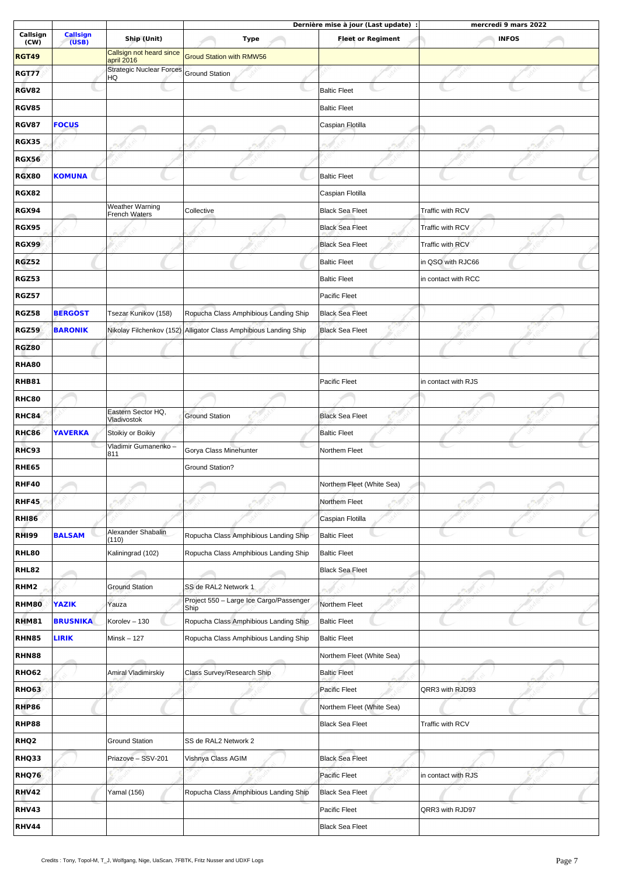|                  |                          |                                        |                                                                  | Dernière mise à jour (Last update) : |                     | mercredi 9 mars 2022 |  |
|------------------|--------------------------|----------------------------------------|------------------------------------------------------------------|--------------------------------------|---------------------|----------------------|--|
| Callsign<br>(CW) | <b>Callsign</b><br>(USB) | Ship (Unit)                            | <b>Type</b>                                                      | <b>Fleet or Regiment</b>             |                     | <b>INFOS</b>         |  |
| <b>RGT49</b>     |                          | Callsign not heard since<br>april 2016 | <b>Groud Station with RMW56</b>                                  |                                      |                     |                      |  |
| <b>RGT77</b>     |                          | <b>Strategic Nuclear Forces</b><br>HQ  | <b>Ground Station</b>                                            |                                      |                     |                      |  |
| RGV82            |                          |                                        |                                                                  | <b>Baltic Fleet</b>                  |                     |                      |  |
| <b>RGV85</b>     |                          |                                        |                                                                  | <b>Baltic Fleet</b>                  |                     |                      |  |
| <b>RGV87</b>     | <b>FOCUS</b>             |                                        |                                                                  | Caspian Flotilla                     |                     |                      |  |
| <b>RGX35</b>     |                          |                                        |                                                                  |                                      |                     |                      |  |
| <b>RGX56</b>     |                          |                                        |                                                                  |                                      |                     |                      |  |
| <b>RGX80</b>     | <b>KOMUNA</b>            |                                        |                                                                  | <b>Baltic Fleet</b>                  |                     |                      |  |
| <b>RGX82</b>     |                          |                                        |                                                                  | Caspian Flotilla                     |                     |                      |  |
| <b>RGX94</b>     |                          | Weather Warning                        | Collective                                                       | <b>Black Sea Fleet</b>               | Traffic with RCV    |                      |  |
|                  |                          | <b>French Waters</b>                   |                                                                  |                                      | Traffic with RCV    |                      |  |
| <b>RGX95</b>     |                          |                                        |                                                                  | <b>Black Sea Fleet</b>               |                     |                      |  |
| <b>RGX99</b>     |                          |                                        |                                                                  | <b>Black Sea Fleet</b>               | Traffic with RCV    |                      |  |
| <b>RGZ52</b>     |                          |                                        |                                                                  | <b>Baltic Fleet</b>                  | in QSO with RJC66   |                      |  |
| <b>RGZ53</b>     |                          |                                        |                                                                  | <b>Baltic Fleet</b>                  | in contact with RCC |                      |  |
| <b>RGZ57</b>     |                          |                                        |                                                                  | Pacific Fleet                        |                     |                      |  |
| <b>RGZ58</b>     | <b>BERGOST</b>           | Tsezar Kunikov (158)                   | Ropucha Class Amphibious Landing Ship                            | <b>Black Sea Fleet</b>               |                     |                      |  |
| <b>RGZ59</b>     | <b>BARONIK</b>           |                                        | Nikolay Filchenkov (152) Alligator Class Amphibious Landing Ship | <b>Black Sea Fleet</b>               |                     |                      |  |
| <b>RGZ80</b>     |                          |                                        |                                                                  |                                      |                     |                      |  |
| <b>RHA80</b>     |                          |                                        |                                                                  |                                      |                     |                      |  |
| <b>RHB81</b>     |                          |                                        |                                                                  | Pacific Fleet                        | in contact with RJS |                      |  |
| <b>RHC80</b>     |                          |                                        |                                                                  |                                      |                     |                      |  |
| <b>RHC84</b>     |                          | Eastern Sector HQ,<br>Vladivostok      | <b>Ground Station</b>                                            | <b>Black Sea Fleet</b>               |                     |                      |  |
| <b>RHC86</b>     | <b>YAVERKA</b>           | Stoikiy or Boikiy                      |                                                                  | <b>Baltic Fleet</b>                  |                     |                      |  |
| RHC93            |                          | Vladimir Gumanenko -<br>811            | Gorya Class Minehunter                                           | Northem Fleet                        |                     |                      |  |
| <b>RHE65</b>     |                          |                                        | <b>Ground Station?</b>                                           |                                      |                     |                      |  |
| <b>RHF40</b>     |                          |                                        |                                                                  | Northem Fleet (White Sea)            |                     |                      |  |
| RHF45            |                          |                                        |                                                                  | Northem Fleet                        |                     |                      |  |
| <b>RHI86</b>     |                          |                                        |                                                                  | Caspian Flotilla                     |                     |                      |  |
| <b>RHI99</b>     | <b>BALSAM</b>            | Alexander Shabalin<br>(110)            | Ropucha Class Amphibious Landing Ship                            | <b>Baltic Fleet</b>                  |                     |                      |  |
| <b>RHL80</b>     |                          | Kaliningrad (102)                      | Ropucha Class Amphibious Landing Ship                            | <b>Baltic Fleet</b>                  |                     |                      |  |
| RHL82            |                          |                                        |                                                                  | <b>Black Sea Fleet</b>               |                     |                      |  |
| RHM2             |                          | <b>Ground Station</b>                  | SS de RAL2 Network 1                                             |                                      |                     |                      |  |
| <b>RHM80</b>     | <b>YAZIK</b>             | Yauza                                  | Project 550 - Large Ice Cargo/Passenger<br>Ship                  | Northem Fleet                        |                     |                      |  |
| <b>RHM81</b>     | <b>BRUSNIKA</b>          | Korolev - 130                          | Ropucha Class Amphibious Landing Ship                            | <b>Baltic Fleet</b>                  |                     |                      |  |
| RHN85            | <b>LIRIK</b>             | $Minsk - 127$                          | Ropucha Class Amphibious Landing Ship                            | <b>Baltic Fleet</b>                  |                     |                      |  |
| <b>RHN88</b>     |                          |                                        |                                                                  | Northem Fleet (White Sea)            |                     |                      |  |
| <b>RHO62</b>     |                          | Amiral Vladimirskiy                    | Class Survey/Research Ship                                       | <b>Baltic Fleet</b>                  |                     |                      |  |
| <b>RHO63</b>     |                          |                                        |                                                                  | Pacific Fleet                        | QRR3 with RJD93     |                      |  |
| <b>RHP86</b>     |                          |                                        |                                                                  | Northem Fleet (White Sea)            |                     |                      |  |
| RHP88            |                          |                                        |                                                                  | <b>Black Sea Fleet</b>               | Traffic with RCV    |                      |  |
| RHQ <sub>2</sub> |                          | <b>Ground Station</b>                  | SS de RAL2 Network 2                                             |                                      |                     |                      |  |
| <b>RHQ33</b>     |                          | Priazove - SSV-201                     | Vishnya Class AGIM                                               | <b>Black Sea Fleet</b>               |                     |                      |  |
| RHQ76            |                          |                                        |                                                                  | Pacific Fleet                        | in contact with RJS |                      |  |
|                  |                          |                                        |                                                                  |                                      |                     |                      |  |
| <b>RHV42</b>     |                          | Yamal (156)                            | Ropucha Class Amphibious Landing Ship                            | <b>Black Sea Fleet</b>               |                     |                      |  |
| <b>RHV43</b>     |                          |                                        |                                                                  | Pacific Fleet                        | QRR3 with RJD97     |                      |  |
| RHV44            |                          |                                        |                                                                  | <b>Black Sea Fleet</b>               |                     |                      |  |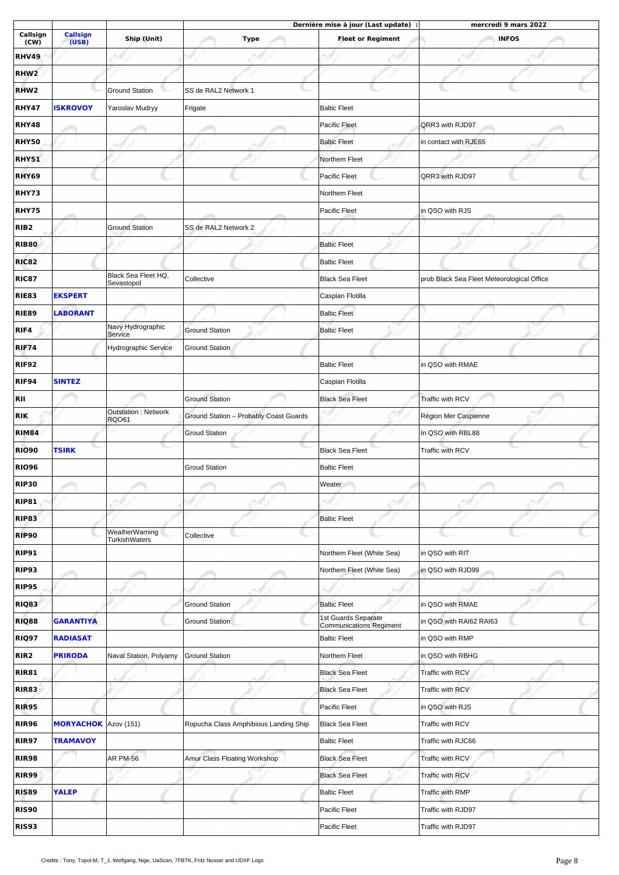|                  |                             |                                 | Dernière mise à jour (Last update) :   |                                                       | mercredi 9 mars 2022                       |  |
|------------------|-----------------------------|---------------------------------|----------------------------------------|-------------------------------------------------------|--------------------------------------------|--|
| Callsign<br>(CW) | <b>Callsign</b><br>(USB)    | Ship (Unit)                     | <b>Type</b>                            | <b>Fleet or Regiment</b>                              | <b>INFOS</b>                               |  |
| <b>RHV49</b>     |                             |                                 |                                        |                                                       |                                            |  |
| RHW <sub>2</sub> |                             |                                 |                                        |                                                       |                                            |  |
| RHW <sub>2</sub> |                             | <b>Ground Station</b>           | SS de RAL2 Network 1                   |                                                       |                                            |  |
| RHY47            | <b>ISKROVOY</b>             | Yaroslav Mudryy                 | Frigate                                | <b>Baltic Fleet</b>                                   |                                            |  |
| <b>RHY48</b>     |                             |                                 |                                        | Pacific Fleet                                         | QRR3 with RJD97                            |  |
| <b>RHY50</b>     |                             |                                 |                                        | <b>Baltic Fleet</b>                                   | in contact with RJE65                      |  |
| <b>RHY51</b>     |                             |                                 |                                        | Northem Fleet                                         |                                            |  |
| RHY69            |                             |                                 |                                        | Pacific Fleet                                         | QRR3 with RJD97                            |  |
| RHY73            |                             |                                 |                                        | Northem Fleet                                         |                                            |  |
| <b>RHY75</b>     |                             |                                 |                                        | Pacific Fleet                                         | in QSO with RJS                            |  |
| RIB <sub>2</sub> |                             | <b>Ground Station</b>           | SS de RAL2 Network 2                   |                                                       |                                            |  |
| <b>RIB80</b>     |                             |                                 |                                        | <b>Baltic Fleet</b>                                   |                                            |  |
| <b>RIC82</b>     |                             |                                 |                                        | <b>Baltic Fleet</b>                                   |                                            |  |
| <b>RIC87</b>     |                             | Black Sea Fleet HQ,             | Collective                             | <b>Black Sea Fleet</b>                                | prob Black Sea Fleet Meteorological Office |  |
| <b>RIE83</b>     | <b>EKSPERT</b>              | Sevastopol                      |                                        | Caspian Flotilla                                      |                                            |  |
| <b>RIE89</b>     | <b>LABORANT</b>             |                                 |                                        | <b>Baltic Fleet</b>                                   |                                            |  |
| RIF4             |                             | Navy Hydrographic               | <b>Ground Station</b>                  | <b>Baltic Fleet</b>                                   |                                            |  |
| <b>RIF74</b>     |                             | Service<br>Hydrographic Service | Ground Station                         |                                                       |                                            |  |
| <b>RIF92</b>     |                             |                                 |                                        | <b>Baltic Fleet</b>                                   | in QSO with RMAE                           |  |
| RIF94            | <b>SINTEZ</b>               |                                 |                                        |                                                       |                                            |  |
|                  |                             |                                 | <b>Ground Station</b>                  | Caspian Flotilla                                      |                                            |  |
| RII              |                             | <b>Outstation: Network</b>      |                                        | <b>Black Sea Fleet</b>                                | Traffic with RCV                           |  |
| <b>RIK</b>       |                             | <b>RQ061</b>                    | Ground Station - Probably Coast Guards |                                                       | Région Mer Caspienne                       |  |
| <b>RIM84</b>     |                             |                                 | <b>Groud Station</b>                   |                                                       | In QSO with RBL88                          |  |
| <b>RIO90</b>     | <b>TSIRK</b>                |                                 |                                        | <b>Black Sea Fleet</b>                                | Traffic with RCV                           |  |
| <b>RIO96</b>     |                             |                                 | <b>Groud Station</b>                   | <b>Baltic Fleet</b>                                   |                                            |  |
| <b>RIP30</b>     |                             |                                 |                                        | Weater                                                |                                            |  |
| <b>RIP81</b>     |                             |                                 |                                        |                                                       |                                            |  |
| <b>RIP83</b>     |                             |                                 |                                        | <b>Baltic Fleet</b>                                   |                                            |  |
| <b>RIP90</b>     |                             | WeatherWarning<br>TurkishWaters | Collective                             |                                                       |                                            |  |
| <b>RIP91</b>     |                             |                                 |                                        | Northem Fleet (White Sea)                             | in QSO with RIT                            |  |
| RIP93            |                             |                                 |                                        | Northem Fleet (White Sea)                             | in QSO with RJD99                          |  |
| <b>RIP95</b>     |                             |                                 |                                        |                                                       |                                            |  |
| RIQ83            |                             |                                 | <b>Ground Station</b>                  | <b>Baltic Fleet</b>                                   | in QSO with RMAE                           |  |
| <b>RIQ88</b>     | <b>GARANTIYA</b>            |                                 | <b>Ground Station</b>                  | 1st Guards Separate<br><b>Communications Regiment</b> | in QSO with RAI62 RAI63                    |  |
| RIQ97            | <b>RADIASAT</b>             |                                 |                                        | <b>Baltic Fleet</b>                                   | in QSO with RMP                            |  |
| RIR <sub>2</sub> | <b>PRIRODA</b>              | Naval Station, Polyarny         | <b>Ground Station</b>                  | Northem Fleet                                         | in QSO with RBHG                           |  |
| <b>RIR81</b>     |                             |                                 |                                        | <b>Black Sea Fleet</b>                                | Traffic with RCV                           |  |
| <b>RIR83</b>     |                             |                                 |                                        | <b>Black Sea Fleet</b>                                | Traffic with RCV                           |  |
| <b>RIR95</b>     |                             |                                 |                                        | Pacific Fleet                                         | in QSO with RJS                            |  |
| <b>RIR96</b>     | <b>MORYACHOK</b> Azov (151) |                                 | Ropucha Class Amphibious Landing Ship  | <b>Black Sea Fleet</b>                                | Traffic with RCV                           |  |
| <b>RIR97</b>     | <b>TRAMAVOY</b>             |                                 |                                        | <b>Baltic Fleet</b>                                   | Traffic with RJC66                         |  |
| <b>RIR98</b>     |                             | AR PM-56                        | Amur Class Floating Workshop           | <b>Black Sea Fleet</b>                                | Traffic with RCV                           |  |
| <b>RIR99</b>     |                             |                                 |                                        | <b>Black Sea Fleet</b>                                | Traffic with RCV                           |  |
| <b>RIS89</b>     | <b>YALEP</b>                |                                 |                                        | <b>Baltic Fleet</b>                                   | Traffic with RMP                           |  |
| RIS90            |                             |                                 |                                        | Pacific Fleet                                         | Traffic with RJD97                         |  |
| RIS93            |                             |                                 |                                        | Pacific Fleet                                         | Traffic with RJD97                         |  |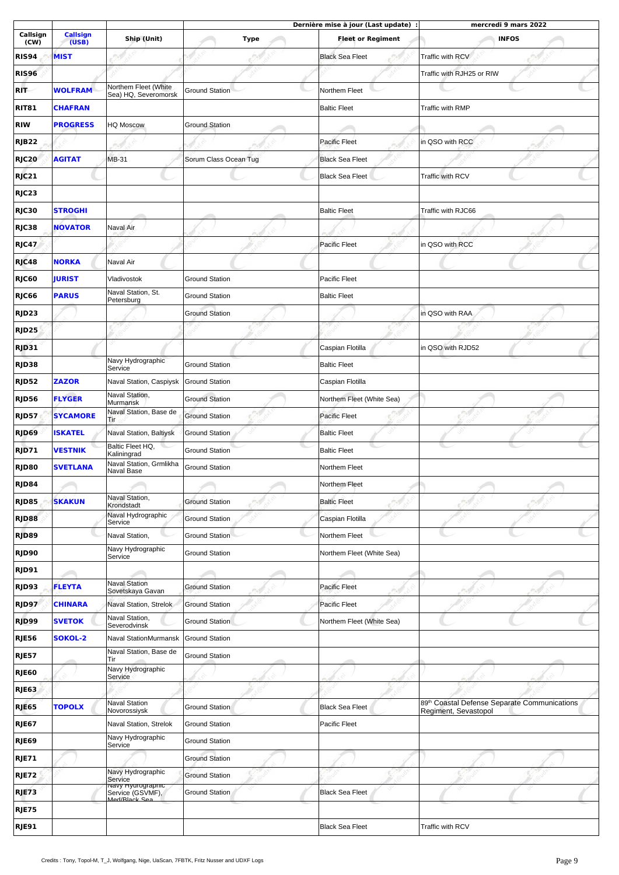|                   |                          |                                                   |                       | Dernière mise à jour (Last update) : | mercredi 9 mars 2022                         |
|-------------------|--------------------------|---------------------------------------------------|-----------------------|--------------------------------------|----------------------------------------------|
| Callsign<br>(CW)  | <b>Callsign</b><br>(USB) | Ship (Unit)                                       | <b>Type</b>           | <b>Fleet or Regiment</b>             | <b>INFOS</b>                                 |
| <b>RIS94</b>      | <b>MIST</b>              |                                                   |                       | <b>Black Sea Fleet</b>               | Traffic with RCV                             |
| <b>RIS96</b>      |                          |                                                   |                       |                                      | Traffic with RJH25 or RIW                    |
| RIT               | <b>WOLFRAM</b>           | Northem Fleet (White                              | <b>Ground Station</b> | Northem Fleet                        |                                              |
| <b>RIT81</b>      | <b>CHAFRAN</b>           | Sea) HQ, Severomorsk                              |                       | <b>Baltic Fleet</b>                  | Traffic with RMP                             |
| <b>RIW</b>        | <b>PROGRESS</b>          | <b>HQ Moscow</b>                                  | <b>Ground Station</b> |                                      |                                              |
| <b>RJB22</b>      |                          |                                                   |                       | <b>Pacific Fleet</b>                 | in QSO with RCC                              |
| RJC20             | <b>AGITAT</b>            | MB-31                                             | Sorum Class Ocean Tug | <b>Black Sea Fleet</b>               |                                              |
|                   |                          |                                                   |                       |                                      | Traffic with RCV                             |
| RJC21             |                          |                                                   |                       | <b>Black Sea Fleet</b>               |                                              |
| RJC23             |                          |                                                   |                       |                                      |                                              |
| RJC30             | <b>STROGHI</b>           |                                                   |                       | <b>Baltic Fleet</b>                  | Traffic with RJC66                           |
| RJC38             | <b>NOVATOR</b>           | Naval Air                                         |                       |                                      |                                              |
| RJC47             |                          |                                                   |                       | <b>Pacific Fleet</b>                 | in QSO with RCC                              |
| RJC48             | <b>NORKA</b>             | Naval Air                                         |                       |                                      |                                              |
| RJC60             | <b>JURIST</b>            | Vladivostok                                       | <b>Ground Station</b> | Pacific Fleet                        |                                              |
| RJC66             | <b>PARUS</b>             | Naval Station, St.<br>Petersburg                  | <b>Ground Station</b> | <b>Baltic Fleet</b>                  |                                              |
| RJD <sub>23</sub> |                          |                                                   | <b>Ground Station</b> |                                      | in QSO with RAA                              |
| RJD <sub>25</sub> |                          |                                                   |                       |                                      |                                              |
| RJD31             |                          |                                                   |                       | Caspian Flotilla                     | in QSO with RJD52                            |
| RJD38             |                          | Navy Hydrographic                                 | <b>Ground Station</b> | <b>Baltic Fleet</b>                  |                                              |
| <b>RJD52</b>      | <b>ZAZOR</b>             | Service<br>Naval Station, Caspiysk                | <b>Ground Station</b> | Caspian Flotilla                     |                                              |
| <b>RJD56</b>      | <b>FLYGER</b>            | Naval Station,                                    | <b>Ground Station</b> | Northem Fleet (White Sea)            |                                              |
| <b>RJD57</b>      | <b>SYCAMORE</b>          | Murmansk<br>Naval Station, Base de                | <b>Ground Station</b> | <b>Pacific Fleet</b>                 |                                              |
|                   | <b>ISKATEL</b>           | Tir                                               |                       |                                      |                                              |
| RJD69             |                          | Naval Station, Baltiysk<br>Baltic Fleet HQ,       | <b>Ground Station</b> | <b>Baltic Fleet</b>                  |                                              |
| RJD71             | <b>VESTNIK</b>           | Kaliningrad<br>Naval Station, Grmlikha            | <b>Ground Station</b> | <b>Baltic Fleet</b>                  |                                              |
| RJD80             | <b>SVETLANA</b>          | Naval Base                                        | <b>Ground Station</b> | Northem Fleet                        |                                              |
| RJD84             |                          |                                                   |                       | Northem Fleet                        |                                              |
| RJD85             | <b>SKAKUN</b>            | Naval Station,<br>Krondstadt                      | <b>Ground Station</b> | <b>Baltic Fleet</b>                  |                                              |
| RJD88             |                          | Naval Hydrographic<br>Service                     | <b>Ground Station</b> | Caspian Flotilla                     |                                              |
| RJD89             |                          | Naval Station,                                    | <b>Ground Station</b> | Northem Fleet                        |                                              |
| RJD90             |                          | Navy Hydrographic<br>Service                      | <b>Ground Station</b> | Northem Fleet (White Sea)            |                                              |
| RJD91             |                          |                                                   |                       |                                      |                                              |
| RJD93             | <b>FLEYTA</b>            | <b>Naval Station</b><br>Sovetskaya Gavan          | <b>Ground Station</b> | Pacific Fleet                        |                                              |
| RJD97             | <b>CHINARA</b>           | Naval Station, Strelok                            | <b>Ground Station</b> | <b>Pacific Fleet</b>                 |                                              |
| RJD99             | <b>SVETOK</b>            | Naval Station,<br>Severodvinsk                    | <b>Ground Station</b> | Northem Fleet (White Sea)            |                                              |
| <b>RJE56</b>      | <b>SOKOL-2</b>           | Naval StationMurmansk                             | <b>Ground Station</b> |                                      |                                              |
| <b>RJE57</b>      |                          | Naval Station, Base de                            | <b>Ground Station</b> |                                      |                                              |
| <b>RJE60</b>      |                          | Tir<br>Navy Hydrographic                          |                       |                                      |                                              |
| <b>RJE63</b>      |                          | Service                                           |                       |                                      |                                              |
| <b>RJE65</b>      | <b>TOPOLX</b>            | <b>Naval Station</b>                              | <b>Ground Station</b> | <b>Black Sea Fleet</b>               | 89th Coastal Defense Separate Communications |
|                   |                          | Novorossiysk                                      |                       |                                      | Regiment, Sevastopol                         |
| <b>RJE67</b>      |                          | Naval Station, Strelok<br>Navy Hydrographic       | <b>Ground Station</b> | Pacific Fleet                        |                                              |
| RJE69             |                          | Service                                           | <b>Ground Station</b> |                                      |                                              |
| <b>RJE71</b>      |                          |                                                   | <b>Ground Station</b> |                                      |                                              |
| <b>RJE72</b>      |                          | Navy Hydrographic<br>Service<br>Navy Hydrographic | <b>Ground Station</b> |                                      |                                              |
| RJE73             |                          | Service (GSVMF),<br>Med/Black Sea                 | <b>Ground Station</b> | <b>Black Sea Fleet</b>               |                                              |
| <b>RJE75</b>      |                          |                                                   |                       |                                      |                                              |
| <b>RJE91</b>      |                          |                                                   |                       | <b>Black Sea Fleet</b>               | Traffic with RCV                             |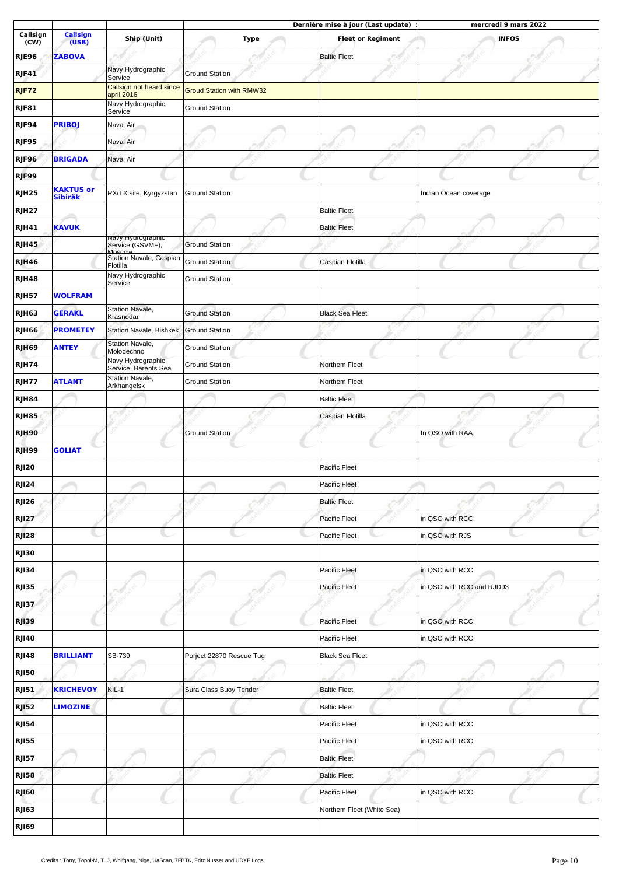|                   |                          |                                                       |                                 |             |                           | Dernière mise à jour (Last update) : |                           | mercredi 9 mars 2022 |  |
|-------------------|--------------------------|-------------------------------------------------------|---------------------------------|-------------|---------------------------|--------------------------------------|---------------------------|----------------------|--|
| Callsign<br>(CW)  | <b>Callsign</b><br>(USB) | Ship (Unit)                                           |                                 | <b>Type</b> |                           | <b>Fleet or Regiment</b>             |                           | <b>INFOS</b>         |  |
| <b>RJE96</b>      | <b>ZABOVA</b>            |                                                       |                                 |             | <b>Baltic Fleet</b>       |                                      |                           |                      |  |
| <b>RJF41</b>      |                          | Navy Hydrographic<br>Service                          | <b>Ground Station</b>           |             |                           |                                      |                           |                      |  |
| RJF72             |                          | Callsign not heard since<br>april 2016                | <b>Groud Station with RMW32</b> |             |                           |                                      |                           |                      |  |
| <b>RJF81</b>      |                          | Navy Hydrographic                                     | <b>Ground Station</b>           |             |                           |                                      |                           |                      |  |
| RJF94             | <b>PRIBOJ</b>            | Service<br>Naval Air                                  |                                 |             |                           |                                      |                           |                      |  |
| RJF95             |                          | Naval Air                                             |                                 |             |                           |                                      |                           |                      |  |
| RJF96             | <b>BRIGADA</b>           | Naval Air                                             |                                 |             |                           |                                      |                           |                      |  |
|                   |                          |                                                       |                                 |             |                           |                                      |                           |                      |  |
| RJF99             | <b>KAKTUS or</b>         |                                                       |                                 |             |                           |                                      |                           |                      |  |
| RJH <sub>25</sub> | <b>Sibiräk</b>           | RX/TX site, Kyrgyzstan                                | <b>Ground Station</b>           |             |                           |                                      | Indian Ocean coverage     |                      |  |
| RJH <sub>27</sub> |                          |                                                       |                                 |             | <b>Baltic Fleet</b>       |                                      |                           |                      |  |
| RJH41             | <b>KAVUK</b>             | <mark>navy <del>ri</del>yarograpmc</mark>             |                                 |             | <b>Baltic Fleet</b>       |                                      |                           |                      |  |
| RJH45             |                          | Service (GSVMF),<br>MOSCOW<br>Station Navale, Caspian | <b>Ground Station</b>           |             |                           |                                      |                           |                      |  |
| RJH46             |                          | Flotilla                                              | Ground Station                  |             | Caspian Flotilla          |                                      |                           |                      |  |
| RJH48             |                          | Navy Hydrographic<br>Service                          | <b>Ground Station</b>           |             |                           |                                      |                           |                      |  |
| <b>RJH57</b>      | <b>WOLFRAM</b>           |                                                       |                                 |             |                           |                                      |                           |                      |  |
| <b>RJH63</b>      | <b>GERAKL</b>            | Station Navale,<br>Krasnodar                          | <b>Ground Station</b>           |             | <b>Black Sea Fleet</b>    |                                      |                           |                      |  |
| <b>RJH66</b>      | <b>PROMETEY</b>          | Station Navale, Bishkek                               | <b>Ground Station</b>           |             |                           |                                      |                           |                      |  |
| RJH69             | <b>ANTEY</b>             | Station Navale,<br>Molodechno                         | Ground Station                  |             |                           |                                      |                           |                      |  |
| RJH74             |                          | Navy Hydrographic<br>Service, Barents Sea             | <b>Ground Station</b>           |             | Northem Fleet             |                                      |                           |                      |  |
| RJH77             | <b>ATLANT</b>            | Station Navale,<br>Arkhangelsk                        | <b>Ground Station</b>           |             | Northem Fleet             |                                      |                           |                      |  |
| RJH84             |                          |                                                       |                                 |             | <b>Baltic Fleet</b>       |                                      |                           |                      |  |
| RJH85             |                          |                                                       |                                 |             | Caspian Flotilla          |                                      |                           |                      |  |
| RJH90             |                          |                                                       | <b>Ground Station</b>           |             |                           |                                      | In QSO with RAA           |                      |  |
| <b>RJH99</b>      | <b>GOLIAT</b>            |                                                       |                                 |             |                           |                                      |                           |                      |  |
| <b>RJI20</b>      |                          |                                                       |                                 |             | Pacific Fleet             |                                      |                           |                      |  |
| <b>RJI24</b>      |                          |                                                       |                                 |             | <b>Pacific Fleet</b>      |                                      |                           |                      |  |
| <b>RJI26</b>      |                          |                                                       |                                 |             | <b>Baltic Fleet</b>       |                                      |                           |                      |  |
| <b>RJI27</b>      |                          |                                                       |                                 |             | Pacific Fleet             |                                      | in QSO with RCC           |                      |  |
| <b>RJ128</b>      |                          |                                                       |                                 |             | Pacific Fleet             |                                      | in QSO with RJS           |                      |  |
| <b>RJI30</b>      |                          |                                                       |                                 |             |                           |                                      |                           |                      |  |
| <b>RJI34</b>      |                          |                                                       |                                 |             | Pacific Fleet             |                                      | in QSO with RCC           |                      |  |
| <b>RJI35</b>      |                          |                                                       |                                 |             | <b>Pacific Fleet</b>      |                                      | in QSO with RCC and RJD93 |                      |  |
| <b>RJ137</b>      |                          |                                                       |                                 |             |                           |                                      |                           |                      |  |
|                   |                          |                                                       |                                 |             | Pacific Fleet             |                                      | in QSO with RCC           |                      |  |
| <b>RJI39</b>      |                          |                                                       |                                 |             |                           |                                      |                           |                      |  |
| <b>RJ140</b>      |                          |                                                       |                                 |             | Pacific Fleet             |                                      | in QSO with RCC           |                      |  |
| <b>RJ148</b>      | <b>BRILLIANT</b>         | SB-739                                                | Porject 22870 Rescue Tug        |             | <b>Black Sea Fleet</b>    |                                      |                           |                      |  |
| <b>RJI50</b>      |                          |                                                       |                                 |             |                           |                                      |                           |                      |  |
| <b>RJI51</b>      | <b>KRICHEVOY</b>         | $KIL-1$                                               | Sura Class Buoy Tender          |             | <b>Baltic Fleet</b>       |                                      |                           |                      |  |
| <b>RJ152</b>      | <b>LIMOZINE</b>          |                                                       |                                 |             | <b>Baltic Fleet</b>       |                                      |                           |                      |  |
| <b>RJ154</b>      |                          |                                                       |                                 |             | Pacific Fleet             |                                      | in QSO with RCC           |                      |  |
| <b>RJI55</b>      |                          |                                                       |                                 |             | Pacific Fleet             |                                      | in QSO with RCC           |                      |  |
| <b>RJI57</b>      |                          |                                                       |                                 |             | <b>Baltic Fleet</b>       |                                      |                           |                      |  |
| <b>RJI58</b>      |                          |                                                       |                                 |             | <b>Baltic Fleet</b>       |                                      |                           |                      |  |
| <b>RJ160</b>      |                          |                                                       |                                 |             | Pacific Fleet             |                                      | in QSO with RCC           |                      |  |
| <b>RJ163</b>      |                          |                                                       |                                 |             | Northem Fleet (White Sea) |                                      |                           |                      |  |
| RJI69             |                          |                                                       |                                 |             |                           |                                      |                           |                      |  |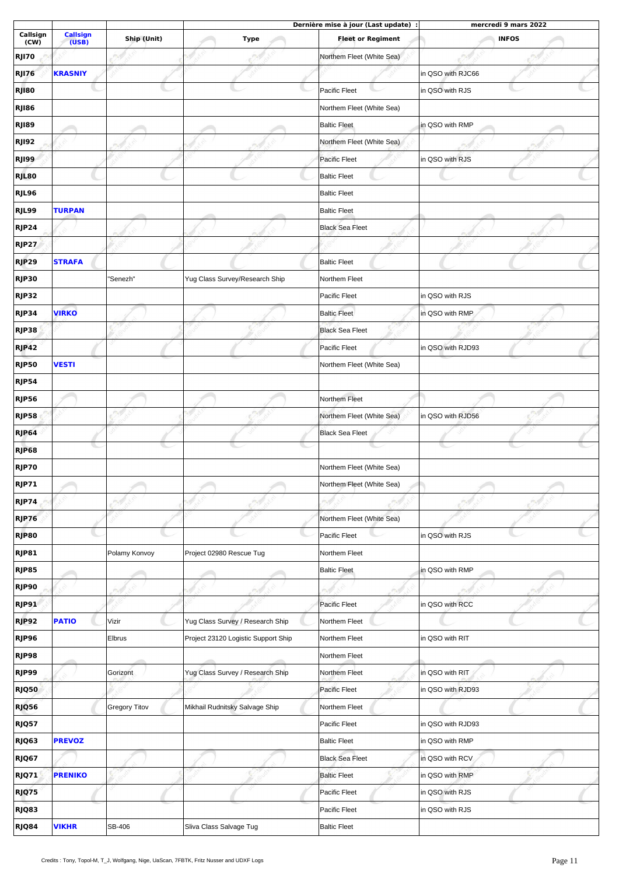|                  |                          |                      |                                     | Dernière mise à jour (Last update) : | mercredi 9 mars 2022 |
|------------------|--------------------------|----------------------|-------------------------------------|--------------------------------------|----------------------|
| Callsign<br>(CW) | <b>Callsign</b><br>(USB) | Ship (Unit)          | <b>Type</b>                         | <b>Fleet or Regiment</b>             | <b>INFOS</b>         |
| <b>RJI70</b>     |                          |                      |                                     | Northem Fleet (White Sea)            |                      |
| <b>RJ176</b>     | <b>KRASNIY</b>           |                      |                                     |                                      | in QSO with RJC66    |
| RJ180            |                          |                      |                                     | <b>Pacific Fleet</b>                 | in QSO with RJS      |
| RJI86            |                          |                      |                                     | Northem Fleet (White Sea)            |                      |
| <b>RJ189</b>     |                          |                      |                                     | <b>Baltic Fleet</b>                  | in QSO with RMP      |
| <b>RJ192</b>     |                          |                      |                                     | Northem Fleet (White Sea)            |                      |
| RJI99            |                          |                      |                                     | Pacific Fleet                        | in QSO with RJS      |
| RJL80            |                          |                      |                                     | <b>Baltic Fleet</b>                  |                      |
| RJL96            |                          |                      |                                     | <b>Baltic Fleet</b>                  |                      |
| RJL99            | <b>TURPAN</b>            |                      |                                     | <b>Baltic Fleet</b>                  |                      |
| RJP24            |                          |                      |                                     | <b>Black Sea Fleet</b>               |                      |
| <b>RJP27</b>     |                          |                      |                                     |                                      |                      |
| RJP29            | <b>STRAFA</b>            |                      |                                     | <b>Baltic Fleet</b>                  |                      |
| RJP30            |                          | 'Senezh"             | Yug Class Survey/Research Ship      | Northem Fleet                        |                      |
| RJP32            |                          |                      |                                     | Pacific Fleet                        | in QSO with RJS      |
| RJP34            | <b>VIRKO</b>             |                      |                                     | <b>Baltic Fleet</b>                  | in QSO with RMP      |
|                  |                          |                      |                                     |                                      |                      |
| RJP38            |                          |                      |                                     | <b>Black Sea Fleet</b>               |                      |
| RJP42            |                          |                      |                                     | Pacific Fleet                        | in QSO with RJD93    |
| <b>RJP50</b>     | <b>VESTI</b>             |                      |                                     | Northem Fleet (White Sea)            |                      |
| <b>RJP54</b>     |                          |                      |                                     |                                      |                      |
| RJP56            |                          |                      |                                     | Northem Fleet                        |                      |
| RJP58            |                          |                      |                                     | Northem Fleet (White Sea)            | in QSO with RJD56    |
| RJP64            |                          |                      |                                     | <b>Black Sea Fleet</b>               |                      |
| RJP68            |                          |                      |                                     |                                      |                      |
| <b>RJP70</b>     |                          |                      |                                     | Northem Fleet (White Sea)            |                      |
| <b>RJP71</b>     |                          |                      |                                     | Northem Fleet (White Sea)            |                      |
| <b>RJP74</b>     |                          |                      |                                     |                                      |                      |
| RJP76            |                          |                      |                                     | Northem Fleet (White Sea)            |                      |
| RJP80            |                          |                      |                                     | Pacific Fleet                        | in QSO with RJS      |
| <b>RJP81</b>     |                          | Polamy Konvoy        | Project 02980 Rescue Tug            | Northem Fleet                        |                      |
| RJP85            |                          |                      |                                     | <b>Baltic Fleet</b>                  | in QSO with RMP      |
| RJP90            |                          |                      |                                     |                                      |                      |
| RJP91            |                          |                      |                                     | <b>Pacific Fleet</b>                 | in QSO with RCC      |
| RJP92            | <b>PATIO</b>             | Vizir                | Yug Class Survey / Research Ship    | Northem Fleet                        |                      |
| RJP96            |                          | Elbrus               | Project 23120 Logistic Support Ship | Northem Fleet                        | in QSO with RIT      |
| RJP98            |                          |                      |                                     | Northem Fleet                        |                      |
| RJP99            |                          | Gorizont             | Yug Class Survey / Research Ship    | Northem Fleet                        | in QSO with RIT      |
| RJQ50            |                          |                      |                                     | Pacific Fleet                        | in QSO with RJD93    |
| RJQ56            |                          | <b>Gregory Titov</b> | Mikhail Rudnitsky Salvage Ship      | Northem Fleet                        |                      |
| RJQ57            |                          |                      |                                     | Pacific Fleet                        | in QSO with RJD93    |
| RJQ63            | <b>PREVOZ</b>            |                      |                                     | <b>Baltic Fleet</b>                  | in QSO with RMP      |
| RJQ67            |                          |                      |                                     | <b>Black Sea Fleet</b>               | in QSO with RCV      |
| RJQ71            | <b>PRENIKO</b>           |                      |                                     | <b>Baltic Fleet</b>                  | in QSO with RMP      |
| RJQ75            |                          |                      |                                     | Pacific Fleet                        | in QSO with RJS      |
| RJQ83            |                          |                      |                                     | Pacific Fleet                        | in QSO with RJS      |
| RJQ84            | <b>VIKHR</b>             | SB-406               | Sliva Class Salvage Tug             | <b>Baltic Fleet</b>                  |                      |
|                  |                          |                      |                                     |                                      |                      |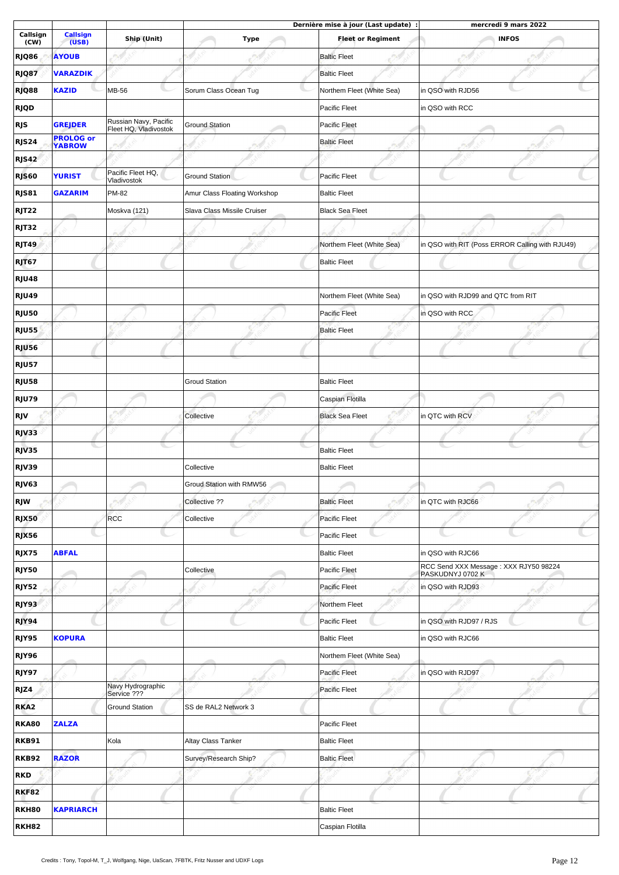|                   |                                   |                                                |                              | Dernière mise à jour (Last update) : | mercredi 9 mars 2022                                      |
|-------------------|-----------------------------------|------------------------------------------------|------------------------------|--------------------------------------|-----------------------------------------------------------|
| Callsign<br>(CW)  | Callsign<br>(USB)                 | Ship (Unit)                                    | <b>Type</b>                  | <b>Fleet or Regiment</b>             | <b>INFOS</b>                                              |
| RJQ86             | <b>AYOUB</b>                      |                                                |                              | <b>Baltic Fleet</b>                  |                                                           |
| RJQ87             | <b>VARAZDIK</b>                   |                                                |                              | <b>Baltic Fleet</b>                  |                                                           |
| RJQ88             | <b>KAZID</b>                      | <b>MB-56</b>                                   | Sorum Class Ocean Tug        | Northem Fleet (White Sea)            | in QSO with RJD56                                         |
| <b>RJQD</b>       |                                   |                                                |                              | Pacific Fleet                        | in QSO with RCC                                           |
| <b>RJS</b>        | <b>GREJDER</b>                    | Russian Navy, Pacific<br>Fleet HQ, Vladivostok | <b>Ground Station</b>        | Pacific Fleet                        |                                                           |
| RJS24             | <b>PROLOG or</b><br><b>YABROW</b> |                                                |                              | <b>Baltic Fleet</b>                  |                                                           |
| RJS42             |                                   |                                                |                              |                                      |                                                           |
| RJS60             | <b>YURIST</b>                     | Pacific Fleet HQ,<br>Vladivostok               | Ground Station               | Pacific Fleet                        |                                                           |
| RJS81             | <b>GAZARIM</b>                    | PM-82                                          | Amur Class Floating Workshop | <b>Baltic Fleet</b>                  |                                                           |
| RJT <sub>22</sub> |                                   | Moskva (121)                                   | Slava Class Missile Cruiser  | <b>Black Sea Fleet</b>               |                                                           |
| RJT32             |                                   |                                                |                              |                                      |                                                           |
| RJT49             |                                   |                                                |                              | Northem Fleet (White Sea)            | in QSO with RIT (Poss ERROR Calling with RJU49)           |
| RJT67             |                                   |                                                |                              | <b>Baltic Fleet</b>                  |                                                           |
| RJU48             |                                   |                                                |                              |                                      |                                                           |
| RJU49             |                                   |                                                |                              | Northem Fleet (White Sea)            | in QSO with RJD99 and QTC from RIT                        |
| <b>RJU50</b>      |                                   |                                                |                              | Pacific Fleet                        | in QSO with RCC                                           |
| <b>RJU55</b>      |                                   |                                                |                              | <b>Baltic Fleet</b>                  |                                                           |
| <b>RJU56</b>      |                                   |                                                |                              |                                      |                                                           |
| <b>RJU57</b>      |                                   |                                                |                              |                                      |                                                           |
| <b>RJU58</b>      |                                   |                                                | <b>Groud Station</b>         | <b>Baltic Fleet</b>                  |                                                           |
| <b>RJU79</b>      |                                   |                                                |                              | Caspian Flotilla                     |                                                           |
| <b>RJV</b>        |                                   |                                                | Collective                   | <b>Black Sea Fleet</b>               | in QTC with RCV                                           |
| RJV33             |                                   |                                                |                              |                                      |                                                           |
| RJV35             |                                   |                                                |                              | <b>Baltic Fleet</b>                  |                                                           |
| RJV39             |                                   |                                                | Collective                   | <b>Baltic Fleet</b>                  |                                                           |
| RJV63             |                                   |                                                | Groud Station with RMW56     |                                      |                                                           |
| <b>RJW</b>        |                                   |                                                | Collective ??                | <b>Baltic Fleet</b>                  | in OTC with RJC66                                         |
| <b>RJX50</b>      |                                   | <b>RCC</b>                                     | Collective                   | Pacific Fleet                        |                                                           |
| <b>RJX56</b>      |                                   |                                                |                              | Pacific Fleet                        |                                                           |
| RJX75             | <b>ABFAL</b>                      |                                                |                              | <b>Baltic Fleet</b>                  | in QSO with RJC66                                         |
| RJY50             |                                   |                                                | Collective                   | Pacific Fleet                        | RCC Send XXX Message: XXX RJY50 98224<br>PASKUDNYJ 0702 K |
| RJY52             |                                   |                                                |                              | Pacific Fleet                        | in QSO with RJD93                                         |
| RJY93             |                                   |                                                |                              | Northem Fleet                        |                                                           |
| RJY94             |                                   |                                                |                              | Pacific Fleet                        | in QSO with RJD97 / RJS                                   |
| RJY95             | <b>KOPURA</b>                     |                                                |                              | <b>Baltic Fleet</b>                  | in QSO with RJC66                                         |
| RJY96             |                                   |                                                |                              | Northem Fleet (White Sea)            |                                                           |
| RJY97             |                                   |                                                |                              | Pacific Fleet                        | in QSO with RJD97                                         |
| RJZ4              |                                   | Navy Hydrographic<br>Service ???               |                              | Pacific Fleet                        |                                                           |
| RKA <sub>2</sub>  |                                   | <b>Ground Station</b>                          | SS de RAL2 Network 3         |                                      |                                                           |
| <b>RKA80</b>      | <b>ZALZA</b>                      |                                                |                              | Pacific Fleet                        |                                                           |
| <b>RKB91</b>      |                                   | Kola                                           | Altay Class Tanker           | <b>Baltic Fleet</b>                  |                                                           |
| <b>RKB92</b>      | <b>RAZOR</b>                      |                                                | Survey/Research Ship?        | <b>Baltic Fleet</b>                  |                                                           |
| <b>RKD</b>        |                                   |                                                |                              |                                      |                                                           |
| <b>RKF82</b>      |                                   |                                                |                              |                                      |                                                           |
| RKH80             | <b>KAPRIARCH</b>                  |                                                |                              | <b>Baltic Fleet</b>                  |                                                           |
| RKH82             |                                   |                                                |                              | Caspian Flotilla                     |                                                           |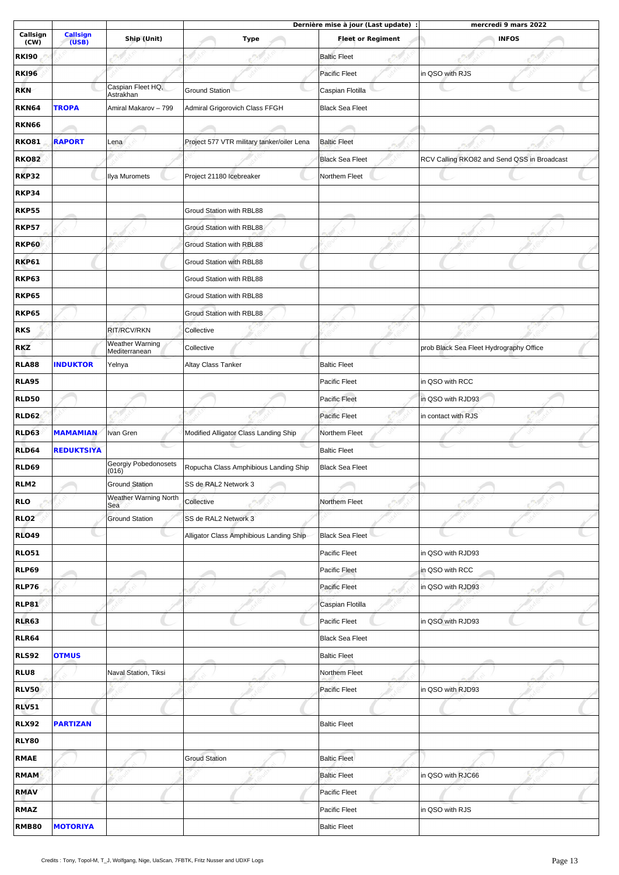|                  |                          |                                                |                                            | Dernière mise à jour (Last update) : | mercredi 9 mars 2022                        |
|------------------|--------------------------|------------------------------------------------|--------------------------------------------|--------------------------------------|---------------------------------------------|
| Callsign<br>(CW) | <b>Callsign</b><br>(USB) | Ship (Unit)                                    | <b>Type</b>                                | <b>Fleet or Regiment</b>             | <b>INFOS</b>                                |
| <b>RKI90</b>     |                          |                                                |                                            | <b>Baltic Fleet</b>                  |                                             |
| <b>RKI96</b>     |                          |                                                |                                            | Pacific Fleet                        | in QSO with RJS                             |
| <b>RKN</b>       |                          | Caspian Fleet HQ,<br>Astrakhan                 | <b>Ground Station</b>                      | Caspian Flotilla                     |                                             |
| <b>RKN64</b>     | <b>TROPA</b>             | Amiral Makarov - 799                           | Admiral Grigorovich Class FFGH             | <b>Black Sea Fleet</b>               |                                             |
| <b>RKN66</b>     |                          |                                                |                                            |                                      |                                             |
| <b>RKO81</b>     | <b>RAPORT</b>            | Lena                                           | Project 577 VTR military tanker/oiler Lena | <b>Baltic Fleet</b>                  |                                             |
| <b>RKO82</b>     |                          |                                                |                                            | <b>Black Sea Fleet</b>               | RCV Calling RKO82 and Send QSS in Broadcast |
| <b>RKP32</b>     |                          | Ilya Muromets                                  | Project 21180 Icebreaker                   | Northem Fleet                        |                                             |
| <b>RKP34</b>     |                          |                                                |                                            |                                      |                                             |
| <b>RKP55</b>     |                          |                                                | Groud Station with RBL88                   |                                      |                                             |
| <b>RKP57</b>     |                          |                                                | Groud Station with RBL88                   |                                      |                                             |
| <b>RKP60</b>     |                          |                                                | Groud Station with RBL88                   |                                      |                                             |
| <b>RKP61</b>     |                          |                                                | Groud Station with RBL88                   |                                      |                                             |
| <b>RKP63</b>     |                          |                                                | Groud Station with RBL88                   |                                      |                                             |
| <b>RKP65</b>     |                          |                                                | Groud Station with RBL88                   |                                      |                                             |
| <b>RKP65</b>     |                          |                                                | Groud Station with RBL88                   |                                      |                                             |
| <b>RKS</b>       |                          | RIT/RCV/RKN                                    | Collective                                 |                                      |                                             |
| <b>RKZ</b>       |                          | <b>Weather Warning</b>                         | Collective                                 |                                      | prob Black Sea Fleet Hydrography Office     |
| <b>RLA88</b>     | <b>INDUKTOR</b>          | Mediterranean<br>Yelnya                        | Altay Class Tanker                         | <b>Baltic Fleet</b>                  |                                             |
| <b>RLA95</b>     |                          |                                                |                                            | Pacific Fleet                        | in QSO with RCC                             |
|                  |                          |                                                |                                            |                                      |                                             |
| <b>RLD50</b>     |                          |                                                |                                            | Pacific Fleet                        | in QSO with RJD93                           |
| <b>RLD62</b>     |                          |                                                |                                            | <b>Pacific Fleet</b>                 | in contact with RJS                         |
| <b>RLD63</b>     | <b>MAMAMIAN</b>          | Ivan Gren                                      | Modified Alligator Class Landing Ship      | Northem Fleet                        |                                             |
| <b>RLD64</b>     | <b>REDUKTSIYA</b>        | Georgiy Pobedonosets                           |                                            | <b>Baltic Fleet</b>                  |                                             |
| RLD69            |                          | (016)                                          | Ropucha Class Amphibious Landing Ship      | <b>Black Sea Fleet</b>               |                                             |
| RLM <sub>2</sub> |                          | <b>Ground Station</b><br>Weather Warning North | SS de RAL2 Network 3                       |                                      |                                             |
| <b>RLO</b>       |                          | Sea                                            | Collective                                 | Northem Fleet                        |                                             |
| <b>RLO2</b>      |                          | <b>Ground Station</b>                          | SS de RAL2 Network 3                       |                                      |                                             |
| <b>RLO49</b>     |                          |                                                | Alligator Class Amphibious Landing Ship    | <b>Black Sea Fleet</b>               |                                             |
| <b>RLO51</b>     |                          |                                                |                                            | Pacific Fleet                        | in OSO with RJD93                           |
| <b>RLP69</b>     |                          |                                                |                                            | Pacific Fleet                        | in QSO with RCC                             |
| <b>RLP76</b>     |                          |                                                |                                            | Pacific Fleet                        | in OSO with RJD93                           |
| <b>RLP81</b>     |                          |                                                |                                            | Caspian Flotilla                     |                                             |
| <b>RLR63</b>     |                          |                                                |                                            | Pacific Fleet                        | in QSO with RJD93                           |
| <b>RLR64</b>     |                          |                                                |                                            | <b>Black Sea Fleet</b>               |                                             |
| <b>RLS92</b>     | <b>OTMUS</b>             |                                                |                                            | <b>Baltic Fleet</b>                  |                                             |
| <b>RLU8</b>      |                          | Naval Station, Tiksi                           |                                            | Northem Fleet                        |                                             |
| <b>RLV50</b>     |                          |                                                |                                            | Pacific Fleet                        | in QSO with RJD93                           |
| <b>RLV51</b>     |                          |                                                |                                            |                                      |                                             |
| <b>RLX92</b>     | <b>PARTIZAN</b>          |                                                |                                            | <b>Baltic Fleet</b>                  |                                             |
| <b>RLY80</b>     |                          |                                                |                                            |                                      |                                             |
| <b>RMAE</b>      |                          |                                                | <b>Groud Station</b>                       | <b>Baltic Fleet</b>                  |                                             |
| <b>RMAM</b>      |                          |                                                |                                            | <b>Baltic Fleet</b>                  | in QSO with RJC66                           |
| <b>RMAV</b>      |                          |                                                |                                            | Pacific Fleet                        |                                             |
| <b>RMAZ</b>      |                          |                                                |                                            | Pacific Fleet                        | in QSO with RJS                             |
| <b>RMB80</b>     | <b>MOTORIYA</b>          |                                                |                                            | <b>Baltic Fleet</b>                  |                                             |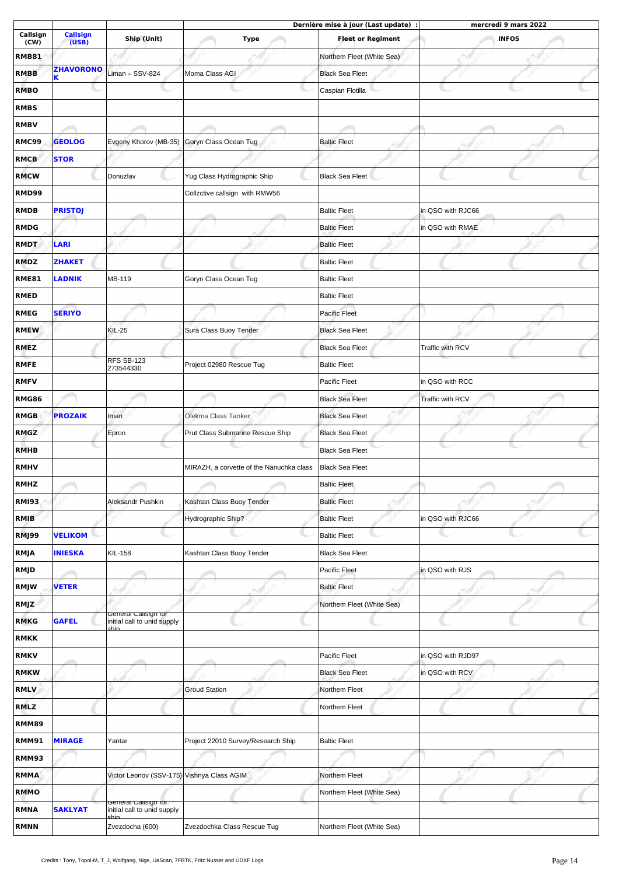|                  |                          |                                            |                                          | Dernière mise à jour (Last update) : | mercredi 9 mars 2022 |  |
|------------------|--------------------------|--------------------------------------------|------------------------------------------|--------------------------------------|----------------------|--|
| Callsign<br>(CW) | <b>Callsign</b><br>(USB) | Ship (Unit)                                | <b>Type</b>                              | <b>Fleet or Regiment</b>             | <b>INFOS</b>         |  |
| <b>RMB81</b>     |                          |                                            |                                          | Northem Fleet (White Sea)            |                      |  |
| <b>RMBB</b>      | <b>ZHAVORONO</b><br>Κ    | Liman - SSV-824                            | Moma Class AGI                           | <b>Black Sea Fleet</b>               |                      |  |
| <b>RMBO</b>      |                          |                                            |                                          | Caspian Flotilla                     |                      |  |
| <b>RMBS</b>      |                          |                                            |                                          |                                      |                      |  |
| <b>RMBV</b>      |                          |                                            |                                          |                                      |                      |  |
| <b>RMC99</b>     | <b>GEOLOG</b>            | Evgeny Khorov (MB-35)                      | Goryn Class Ocean Tug                    | <b>Baltic Fleet</b>                  |                      |  |
| <b>RMCB</b>      | <b>STOR</b>              |                                            |                                          |                                      |                      |  |
| <b>RMCW</b>      |                          | Donuzlav                                   | Yug Class Hydrographic Ship              | <b>Black Sea Fleet</b>               |                      |  |
| <b>RMD99</b>     |                          |                                            | Collzctive callsign with RMW56           |                                      |                      |  |
| <b>RMDB</b>      | <b>PRISTOJ</b>           |                                            |                                          | <b>Baltic Fleet</b>                  | in QSO with RJC66    |  |
| <b>RMDG</b>      |                          |                                            |                                          | <b>Baltic Fleet</b>                  | in QSO with RMAE     |  |
| <b>RMDT</b>      | LARI                     |                                            |                                          | <b>Baltic Fleet</b>                  |                      |  |
| <b>RMDZ</b>      | <b>ZHAKET</b>            |                                            |                                          | <b>Baltic Fleet</b>                  |                      |  |
| <b>RME81</b>     | LADNIK                   | MB-119                                     | Goryn Class Ocean Tug                    | <b>Baltic Fleet</b>                  |                      |  |
| <b>RMED</b>      |                          |                                            |                                          | <b>Baltic Fleet</b>                  |                      |  |
| <b>RMEG</b>      | <b>SERIYO</b>            |                                            |                                          | Pacific Fleet                        |                      |  |
|                  |                          | <b>KIL-25</b>                              | Sura Class Buoy Tender                   | <b>Black Sea Fleet</b>               |                      |  |
| <b>RMEW</b>      |                          |                                            |                                          |                                      |                      |  |
| <b>RMEZ</b>      |                          | RFS SB-123                                 |                                          | <b>Black Sea Fleet</b>               | Traffic with RCV     |  |
| <b>RMFE</b>      |                          | 273544330                                  | Project 02980 Rescue Tug                 | <b>Baltic Fleet</b>                  |                      |  |
| <b>RMFV</b>      |                          |                                            |                                          | Pacific Fleet                        | in QSO with RCC      |  |
| <b>RMG86</b>     |                          |                                            |                                          | <b>Black Sea Fleet</b>               | Traffic with RCV     |  |
| <b>RMGB</b>      | <b>PROZAIK</b>           | Iman                                       | Olekma Class Tanker                      | <b>Black Sea Fleet</b>               |                      |  |
| <b>RMGZ</b>      |                          | Epron                                      | Prut Class Submarine Rescue Ship         | <b>Black Sea Fleet</b>               |                      |  |
| <b>RMHB</b>      |                          |                                            |                                          | <b>Black Sea Fleet</b>               |                      |  |
| <b>RMHV</b>      |                          |                                            | MIRAZH, a corvette of the Nanuchka class | <b>Black Sea Fleet</b>               |                      |  |
| <b>RMHZ</b>      |                          |                                            |                                          | <b>Baltic Fleet</b>                  |                      |  |
| <b>RMI93</b>     |                          | Aleksandr Pushkin                          | Kashtan Class Buoy Tender                | <b>Baltic Fleet</b>                  |                      |  |
| RMIB             |                          |                                            | Hydrographic Ship?                       | <b>Baltic Fleet</b>                  | in QSO with RJC66    |  |
| RMJ99            | <b>VELIKOM</b>           |                                            |                                          | <b>Baltic Fleet</b>                  |                      |  |
| <b>RMJA</b>      | <b>INIESKA</b>           | <b>KIL-158</b>                             | Kashtan Class Buoy Tender                | <b>Black Sea Fleet</b>               |                      |  |
| RMJD             |                          |                                            |                                          | Pacific Fleet                        | in QSO with RJS      |  |
| RMJW             | <b>VETER</b>             |                                            |                                          | <b>Baltic Fleet</b>                  |                      |  |
| RMJZ             |                          | General Callsign for                       |                                          | Northem Fleet (White Sea)            |                      |  |
| <b>RMKG</b>      | <b>GAFEL</b>             | initial call to unid supply<br>chin.       |                                          |                                      |                      |  |
| <b>RMKK</b>      |                          |                                            |                                          |                                      |                      |  |
| <b>RMKV</b>      |                          |                                            |                                          | Pacific Fleet                        | in QSO with RJD97    |  |
| <b>RMKW</b>      |                          |                                            |                                          | <b>Black Sea Fleet</b>               | in QSO with RCV      |  |
| <b>RMLV</b>      |                          |                                            | <b>Groud Station</b>                     | Northem Fleet                        |                      |  |
| <b>RMLZ</b>      |                          |                                            |                                          | Northem Fleet                        |                      |  |
| <b>RMM89</b>     |                          |                                            |                                          |                                      |                      |  |
| <b>RMM91</b>     | <b>MIRAGE</b>            | Yantar                                     | Project 22010 Survey/Research Ship       | <b>Baltic Fleet</b>                  |                      |  |
| RMM93            |                          |                                            |                                          |                                      |                      |  |
| <b>RMMA</b>      |                          | Victor Leonov (SSV-175) Vishnya Class AGIM |                                          | Northem Fleet                        |                      |  |
| <b>RMMO</b>      |                          | General Callsign for                       |                                          | Northem Fleet (White Sea)            |                      |  |
| <b>RMNA</b>      | <b>SAKLYAT</b>           | initial call to unid supply<br>chin.       |                                          |                                      |                      |  |
| <b>RMNN</b>      |                          | Zvezdocha (600)                            | Zvezdochka Class Rescue Tug              | Northem Fleet (White Sea)            |                      |  |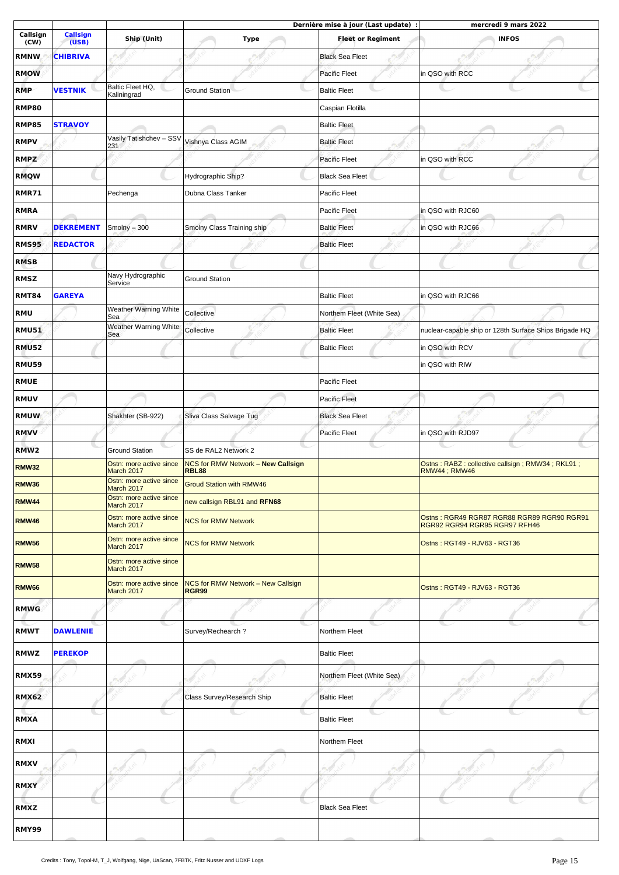|                  |                          |                                                     |                                                           | Dernière mise à jour (Last update) : | mercredi 9 mars 2022                                                        |  |
|------------------|--------------------------|-----------------------------------------------------|-----------------------------------------------------------|--------------------------------------|-----------------------------------------------------------------------------|--|
| Callsign<br>(CW) | <b>Callsign</b><br>(USB) | Ship (Unit)                                         | <b>Type</b>                                               | <b>Fleet or Regiment</b>             | <b>INFOS</b>                                                                |  |
| <b>RMNW</b>      | <b>CHIBRIVA</b>          |                                                     |                                                           | <b>Black Sea Fleet</b>               |                                                                             |  |
| <b>RMOW</b>      |                          |                                                     |                                                           | Pacific Fleet                        | in QSO with RCC                                                             |  |
| <b>RMP</b>       | <b>VESTNIK</b>           | Baltic Fleet HQ,<br>Kaliningrad                     | <b>Ground Station</b>                                     | <b>Baltic Fleet</b>                  |                                                                             |  |
| <b>RMP80</b>     |                          |                                                     |                                                           | Caspian Flotilla                     |                                                                             |  |
| <b>RMP85</b>     | <b>STRAVOY</b>           |                                                     |                                                           | <b>Baltic Fleet</b>                  |                                                                             |  |
| <b>RMPV</b>      |                          | Vasily Tatishchev - SSV                             | Vishnya Class AGIM                                        | <b>Baltic Fleet</b>                  |                                                                             |  |
| <b>RMPZ</b>      |                          | 231                                                 |                                                           | Pacific Fleet                        | in QSO with RCC                                                             |  |
| <b>RMQW</b>      |                          |                                                     | Hydrographic Ship?                                        | <b>Black Sea Fleet</b>               |                                                                             |  |
|                  |                          |                                                     |                                                           |                                      |                                                                             |  |
| RMR71            |                          | Pechenga                                            | Dubna Class Tanker                                        | <b>Pacific Fleet</b>                 |                                                                             |  |
| <b>RMRA</b>      |                          |                                                     |                                                           | Pacific Fleet                        | in QSO with RJC60                                                           |  |
| <b>RMRV</b>      | <b>DEKREMENT</b>         | Smolny $-300$                                       | Smolny Class Training ship                                | <b>Baltic Fleet</b>                  | in QSO with RJC66                                                           |  |
| <b>RMS95</b>     | <b>REDACTOR</b>          |                                                     |                                                           | <b>Baltic Fleet</b>                  |                                                                             |  |
| <b>RMSB</b>      |                          |                                                     |                                                           |                                      |                                                                             |  |
| <b>RMSZ</b>      |                          | Navy Hydrographic<br>Service                        | <b>Ground Station</b>                                     |                                      |                                                                             |  |
| <b>RMT84</b>     | <b>GAREYA</b>            |                                                     |                                                           | <b>Baltic Fleet</b>                  | in QSO with RJC66                                                           |  |
| <b>RMU</b>       |                          | Weather Warning White<br>Sea                        | Collective                                                | Northem Fleet (White Sea)            |                                                                             |  |
| <b>RMU51</b>     |                          | Weather Warning White<br>Sea                        | Collective                                                | <b>Baltic Fleet</b>                  | nuclear-capable ship or 128th Surface Ships Brigade HQ                      |  |
| <b>RMU52</b>     |                          |                                                     |                                                           | <b>Baltic Fleet</b>                  | in QSO with RCV                                                             |  |
| <b>RMU59</b>     |                          |                                                     |                                                           |                                      | in QSO with RIW                                                             |  |
| <b>RMUE</b>      |                          |                                                     |                                                           | Pacific Fleet                        |                                                                             |  |
| <b>RMUV</b>      |                          |                                                     |                                                           | Pacific Fleet                        |                                                                             |  |
| <b>RMUW</b>      |                          | Shakhter (SB-922)                                   | Sliva Class Salvage Tug                                   | <b>Black Sea Fleet</b>               |                                                                             |  |
| <b>RMVV</b>      |                          |                                                     |                                                           | Pacific Fleet                        | in QSO with RJD97                                                           |  |
| RMW <sub>2</sub> |                          | <b>Ground Station</b>                               | SS de RAL2 Network 2                                      |                                      |                                                                             |  |
| RMW32            |                          | Ostn: more active since<br>March 2017               | <b>NCS for RMW Network - New Callsign</b><br><b>RBL88</b> |                                      | Ostns: RABZ: collective callsign; RMW34; RKL91;<br><b>RMW44; RMW46</b>      |  |
| <b>RMW36</b>     |                          | Ostn: more active since<br>March 2017               | <b>Groud Station with RMW46</b>                           |                                      |                                                                             |  |
| <b>RMW44</b>     |                          | Ostn: more active since                             | new callsign RBL91 and RFN68                              |                                      |                                                                             |  |
| RMW46            |                          | March 2017<br>Ostn: more active since<br>March 2017 | <b>NCS for RMW Network</b>                                |                                      | Ostns: RGR49 RGR87 RGR88 RGR89 RGR90 RGR91<br>RGR92 RGR94 RGR95 RGR97 RFH46 |  |
| <b>RMW56</b>     |                          | Ostn: more active since<br>March 2017               | <b>NCS for RMW Network</b>                                |                                      | Ostns: RGT49 - RJV63 - RGT36                                                |  |
| <b>RMW58</b>     |                          | Ostn: more active since<br>March 2017               |                                                           |                                      |                                                                             |  |
| <b>RMW66</b>     |                          | Ostn: more active since<br>March 2017               | NCS for RMW Network - New Callsign<br><b>RGR99</b>        |                                      | Ostns: RGT49 - RJV63 - RGT36                                                |  |
| <b>RMWG</b>      |                          |                                                     |                                                           |                                      |                                                                             |  |
| <b>RMWT</b>      | <b>DAWLENIE</b>          |                                                     | Survey/Rechearch?                                         | Northem Fleet                        |                                                                             |  |
| <b>RMWZ</b>      | <b>PEREKOP</b>           |                                                     |                                                           | <b>Baltic Fleet</b>                  |                                                                             |  |
| <b>RMX59</b>     |                          |                                                     |                                                           | Northem Fleet (White Sea)            |                                                                             |  |
| <b>RMX62</b>     |                          |                                                     | Class Survey/Research Ship                                | <b>Baltic Fleet</b>                  |                                                                             |  |
| <b>RMXA</b>      |                          |                                                     |                                                           | <b>Baltic Fleet</b>                  |                                                                             |  |
| <b>RMXI</b>      |                          |                                                     |                                                           | Northem Fleet                        |                                                                             |  |
| <b>RMXV</b>      |                          |                                                     |                                                           |                                      |                                                                             |  |
| <b>RMXY</b>      |                          |                                                     |                                                           |                                      |                                                                             |  |
| <b>RMXZ</b>      |                          |                                                     |                                                           | <b>Black Sea Fleet</b>               |                                                                             |  |
| <b>RMY99</b>     |                          |                                                     |                                                           |                                      |                                                                             |  |